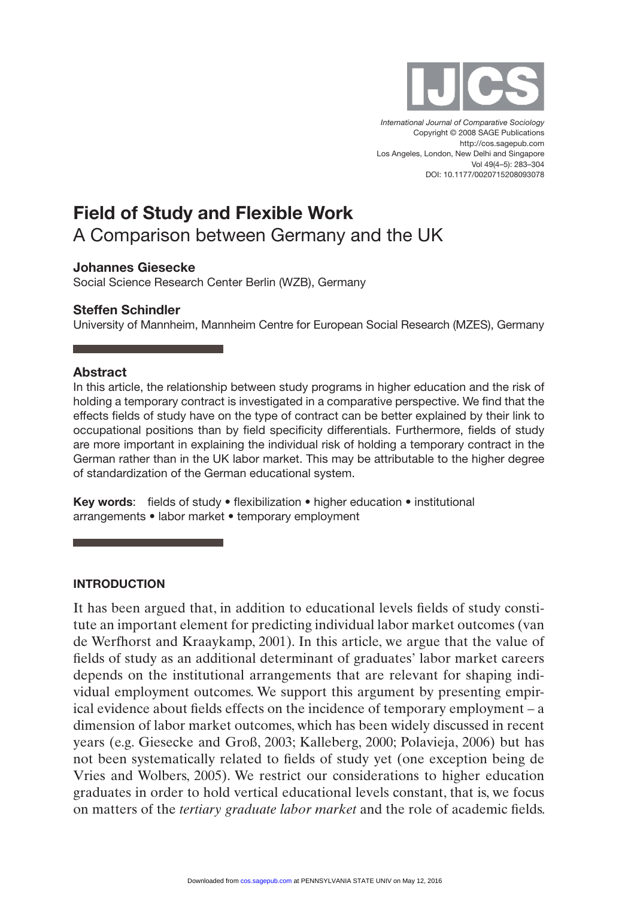

*International Journal of Comparative Sociology* Copyright © 2008 SAGE Publications http://cos.sagepub.com Los Angeles, London, New Delhi and Singapore Vol 49(4–5): 283–304 DOI: 10.1177/0020715208093078

# **Field of Study and Flexible Work** A Comparison between Germany and the UK

## **Johannes Giesecke**

Social Science Research Center Berlin (WZB), Germany

## **Steffen Schindler**

University of Mannheim, Mannheim Centre for European Social Research (MZES), Germany

## **Abstract**

In this article, the relationship between study programs in higher education and the risk of holding a temporary contract is investigated in a comparative perspective. We find that the effects fields of study have on the type of contract can be better explained by their link to occupational positions than by field specificity differentials. Furthermore, fields of study are more important in explaining the individual risk of holding a temporary contract in the German rather than in the UK labor market. This may be attributable to the higher degree of standardization of the German educational system.

**Key words:** fields of study • flexibilization • higher education • institutional arrangements • labor market • temporary employment

#### **INTRODUCTION**

It has been argued that, in addition to educational levels fields of study constitute an important element for predicting individual labor market outcomes (van de Werfhorst and Kraaykamp, 2001). In this article, we argue that the value of fields of study as an additional determinant of graduates' labor market careers depends on the institutional arrangements that are relevant for shaping individual employment outcomes. We support this argument by presenting empirical evidence about fields effects on the incidence of temporary employment – a dimension of labor market outcomes, which has been widely discussed in recent years (e.g. Giesecke and Groß, 2003; Kalleberg, 2000; Polavieja, 2006) but has not been systematically related to fields of study yet (one exception being de Vries and Wolbers, 2005). We restrict our considerations to higher education graduates in order to hold vertical educational levels constant, that is, we focus on matters of the *tertiary graduate labor market* and the role of academic fields.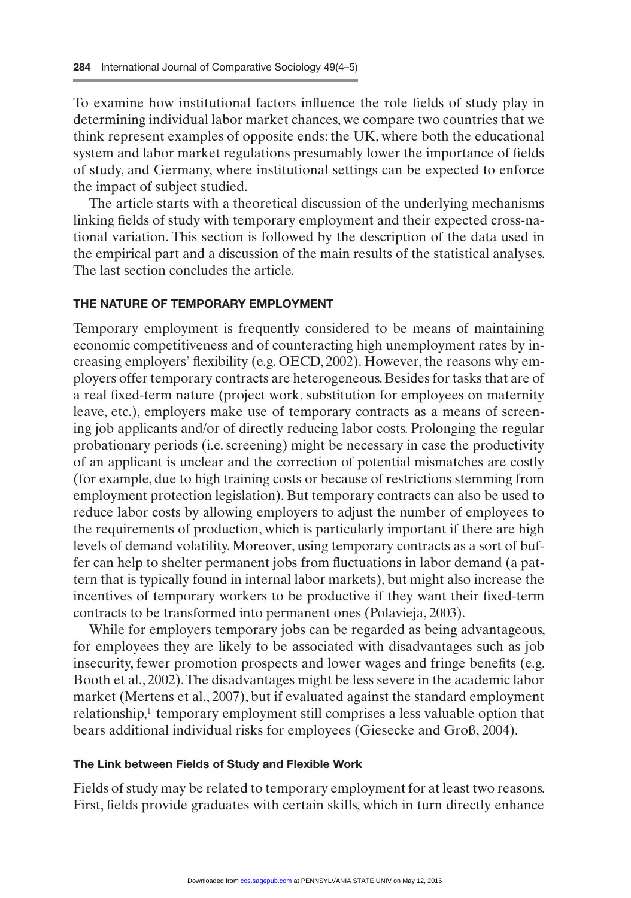To examine how institutional factors influence the role fields of study play in determining individual labor market chances, we compare two countries that we think represent examples of opposite ends: the UK, where both the educational system and labor market regulations presumably lower the importance of fields of study, and Germany, where institutional settings can be expected to enforce the impact of subject studied.

The article starts with a theoretical discussion of the underlying mechanisms linking fields of study with temporary employment and their expected cross-national variation. This section is followed by the description of the data used in the empirical part and a discussion of the main results of the statistical analyses. The last section concludes the article.

## **THE NATURE OF TEMPORARY EMPLOYMENT**

Temporary employment is frequently considered to be means of maintaining economic competitiveness and of counteracting high unemployment rates by increasing employers' flexibility (e.g. OECD, 2002). However, the reasons why employers offer temporary contracts are heterogeneous. Besides for tasks that are of a real fixed-term nature (project work, substitution for employees on maternity leave, etc.), employers make use of temporary contracts as a means of screening job applicants and/or of directly reducing labor costs. Prolonging the regular probationary periods (i.e. screening) might be necessary in case the productivity of an applicant is unclear and the correction of potential mismatches are costly (for example, due to high training costs or because of restrictions stemming from employment protection legislation). But temporary contracts can also be used to reduce labor costs by allowing employers to adjust the number of employees to the requirements of production, which is particularly important if there are high levels of demand volatility. Moreover, using temporary contracts as a sort of buffer can help to shelter permanent jobs from fluctuations in labor demand (a pattern that is typically found in internal labor markets), but might also increase the incentives of temporary workers to be productive if they want their fixed-term contracts to be transformed into permanent ones (Polavieja, 2003).

While for employers temporary jobs can be regarded as being advantageous, for employees they are likely to be associated with disadvantages such as job insecurity, fewer promotion prospects and lower wages and fringe benefits (e.g. Booth et al., 2002). The disadvantages might be less severe in the academic labor market (Mertens et al., 2007), but if evaluated against the standard employment relationship,<sup>1</sup> temporary employment still comprises a less valuable option that bears additional individual risks for employees (Giesecke and Groß, 2004).

## **The Link between Fields of Study and Flexible Work**

Fields of study may be related to temporary employment for at least two reasons. First, fields provide graduates with certain skills, which in turn directly enhance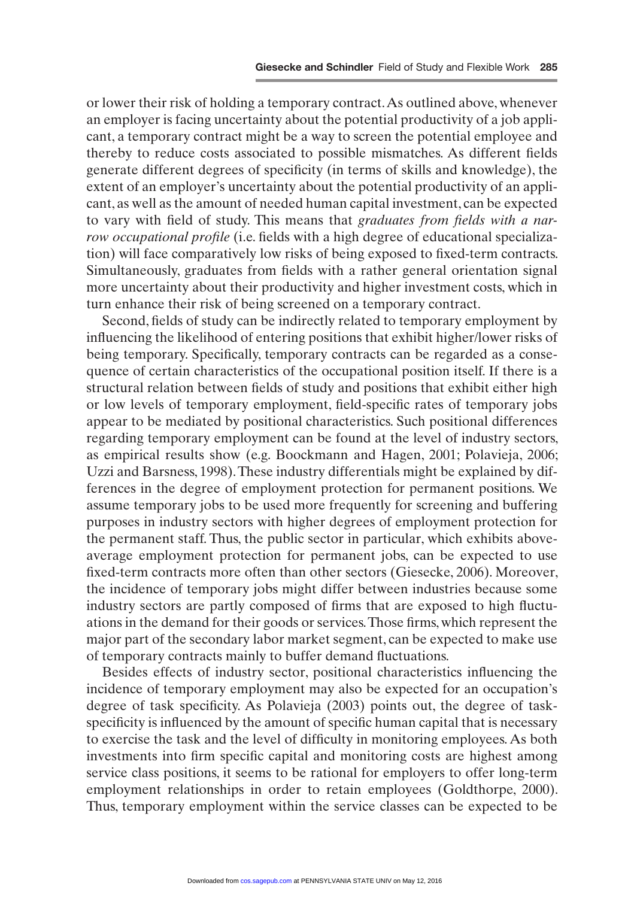or lower their risk of holding a temporary contract. As outlined above, whenever an employer is facing uncertainty about the potential productivity of a job applicant, a temporary contract might be a way to screen the potential employee and thereby to reduce costs associated to possible mismatches. As different fields generate different degrees of specificity (in terms of skills and knowledge), the extent of an employer's uncertainty about the potential productivity of an applicant, as well as the amount of needed human capital investment, can be expected to vary with field of study. This means that *graduates from fields with a narrow occupational profile* (i.e. fields with a high degree of educational specialization) will face comparatively low risks of being exposed to fixed-term contracts. Simultaneously, graduates from fields with a rather general orientation signal more uncertainty about their productivity and higher investment costs, which in turn enhance their risk of being screened on a temporary contract.

Second, fields of study can be indirectly related to temporary employment by influencing the likelihood of entering positions that exhibit higher/lower risks of being temporary. Specifically, temporary contracts can be regarded as a consequence of certain characteristics of the occupational position itself. If there is a structural relation between fields of study and positions that exhibit either high or low levels of temporary employment, field-specific rates of temporary jobs appear to be mediated by positional characteristics. Such positional differences regarding temporary employment can be found at the level of industry sectors, as empirical results show (e.g. Boockmann and Hagen, 2001; Polavieja, 2006; Uzzi and Barsness, 1998). These industry differentials might be explained by differences in the degree of employment protection for permanent positions. We assume temporary jobs to be used more frequently for screening and buffering purposes in industry sectors with higher degrees of employment protection for the permanent staff. Thus, the public sector in particular, which exhibits aboveaverage employment protection for permanent jobs, can be expected to use fixed-term contracts more often than other sectors (Giesecke, 2006). Moreover, the incidence of temporary jobs might differ between industries because some industry sectors are partly composed of firms that are exposed to high fluctuations in the demand for their goods or services. Those firms, which represent the major part of the secondary labor market segment, can be expected to make use of temporary contracts mainly to buffer demand fluctuations.

Besides effects of industry sector, positional characteristics influencing the incidence of temporary employment may also be expected for an occupation's degree of task specificity. As Polavieja (2003) points out, the degree of taskspecificity is influenced by the amount of specific human capital that is necessary to exercise the task and the level of difficulty in monitoring employees. As both investments into firm specific capital and monitoring costs are highest among service class positions, it seems to be rational for employers to offer long-term employment relationships in order to retain employees (Goldthorpe, 2000). Thus, temporary employment within the service classes can be expected to be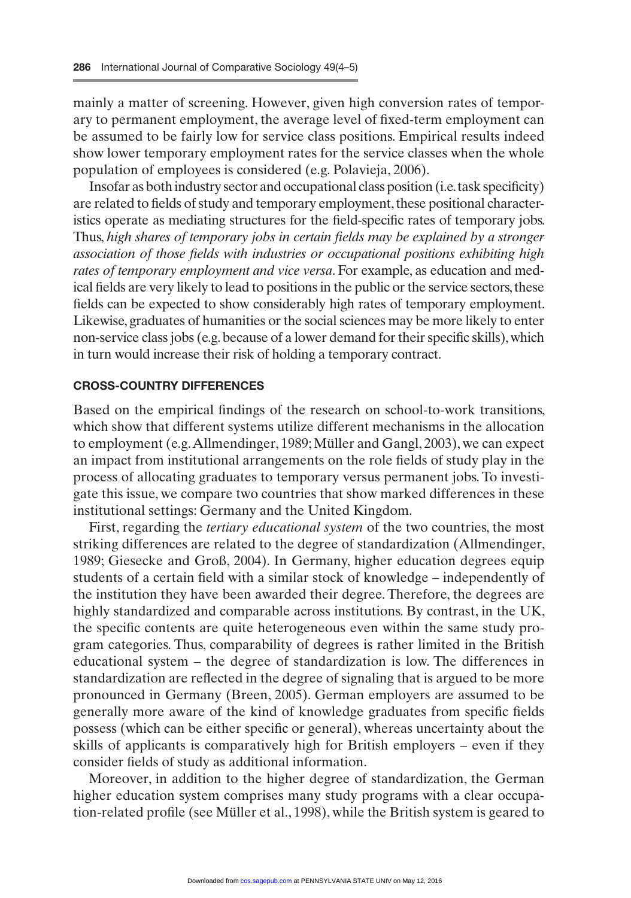mainly a matter of screening. However, given high conversion rates of temporary to permanent employment, the average level of fixed-term employment can be assumed to be fairly low for service class positions. Empirical results indeed show lower temporary employment rates for the service classes when the whole population of employees is considered (e.g. Polavieja, 2006).

Insofar as both industry sector and occupational class position (i.e. task specificity) are related to fields of study and temporary employment, these positional characteristics operate as mediating structures for the field-specific rates of temporary jobs. Thus, *high shares of temporary jobs in certain fields may be explained by a stronger* association of those fields with industries or occupational positions exhibiting high *rates of temporary employment and vice versa*. For example, as education and medical fields are very likely to lead to positions in the public or the service sectors, these fields can be expected to show considerably high rates of temporary employment. Likewise, graduates of humanities or the social sciences may be more likely to enter non-service class jobs (e.g. because of a lower demand for their specific skills), which in turn would increase their risk of holding a temporary contract.

#### **CROSS-COUNTRY DIFFERENCES**

Based on the empirical findings of the research on school-to-work transitions, which show that different systems utilize different mechanisms in the allocation to employment (e.g. Allmendinger, 1989; Müller and Gangl, 2003), we can expect an impact from institutional arrangements on the role fields of study play in the process of allocating graduates to temporary versus permanent jobs. To investigate this issue, we compare two countries that show marked differences in these institutional settings: Germany and the United Kingdom.

First, regarding the *tertiary educational system* of the two countries, the most striking differences are related to the degree of standardization (Allmendinger, 1989; Giesecke and Groß, 2004). In Germany, higher education degrees equip students of a certain field with a similar stock of knowledge – independently of the institution they have been awarded their degree. Therefore, the degrees are highly standardized and comparable across institutions. By contrast, in the UK, the specific contents are quite heterogeneous even within the same study program categories. Thus, comparability of degrees is rather limited in the British educational system – the degree of standardization is low. The differences in standardization are reflected in the degree of signaling that is argued to be more pronounced in Germany (Breen, 2005). German employers are assumed to be generally more aware of the kind of knowledge graduates from specific fields possess (which can be either specifi c or general), whereas uncertainty about the skills of applicants is comparatively high for British employers – even if they consider fields of study as additional information.

Moreover, in addition to the higher degree of standardization, the German higher education system comprises many study programs with a clear occupation-related profile (see Müller et al., 1998), while the British system is geared to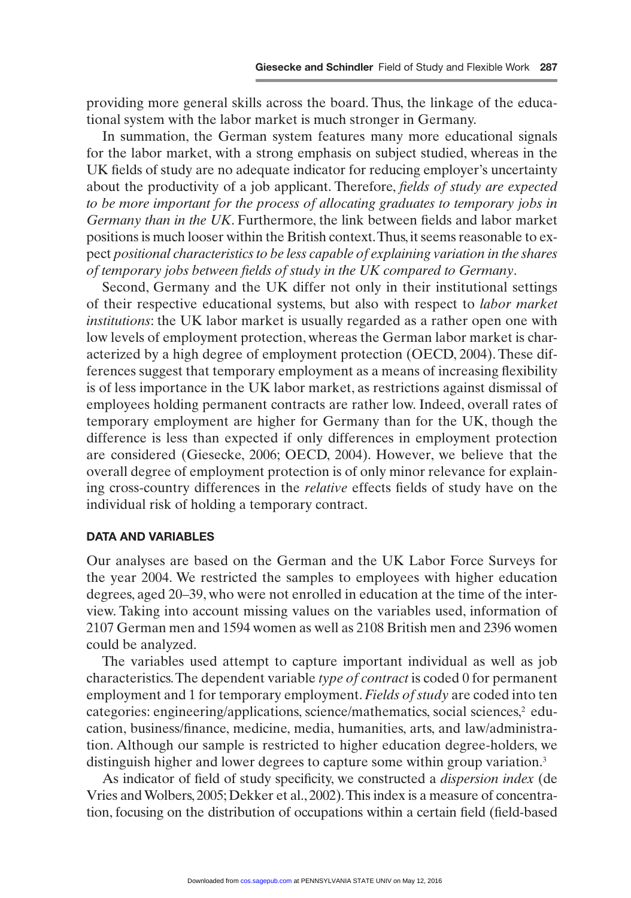providing more general skills across the board. Thus, the linkage of the educational system with the labor market is much stronger in Germany.

In summation, the German system features many more educational signals for the labor market, with a strong emphasis on subject studied, whereas in the UK fields of study are no adequate indicator for reducing employer's uncertainty about the productivity of a job applicant. Therefore, *fields of study are expected to be more important for the process of allocating graduates to temporary jobs in Germany than in the UK*. Furthermore, the link between fields and labor market positions is much looser within the British context. Thus, it seems reasonable to expect *positional characteristics to be less capable of explaining variation in the shares of temporary jobs between fi elds of study in the UK compared to Germany*.

Second, Germany and the UK differ not only in their institutional settings of their respective educational systems, but also with respect to *labor market institutions*: the UK labor market is usually regarded as a rather open one with low levels of employment protection, whereas the German labor market is characterized by a high degree of employment protection (OECD, 2004). These differences suggest that temporary employment as a means of increasing flexibility is of less importance in the UK labor market, as restrictions against dismissal of employees holding permanent contracts are rather low. Indeed, overall rates of temporary employment are higher for Germany than for the UK, though the difference is less than expected if only differences in employment protection are considered (Giesecke, 2006; OECD, 2004). However, we believe that the overall degree of employment protection is of only minor relevance for explaining cross-country differences in the *relative* effects fields of study have on the individual risk of holding a temporary contract.

## **DATA AND VARIABLES**

Our analyses are based on the German and the UK Labor Force Surveys for the year 2004. We restricted the samples to employees with higher education degrees, aged 20–39, who were not enrolled in education at the time of the interview. Taking into account missing values on the variables used, information of 2107 German men and 1594 women as well as 2108 British men and 2396 women could be analyzed.

The variables used attempt to capture important individual as well as job characteristics. The dependent variable *type of contract* is coded 0 for permanent employment and 1 for temporary employment. *Fields of study* are coded into ten categories: engineering/applications, science/mathematics, social sciences,<sup>2</sup> education, business/finance, medicine, media, humanities, arts, and law/administration. Although our sample is restricted to higher education degree-holders, we distinguish higher and lower degrees to capture some within group variation.<sup>3</sup>

As indicator of field of study specificity, we constructed a *dispersion index* (de Vries and Wolbers, 2005; Dekker et al., 2002). This index is a measure of concentration, focusing on the distribution of occupations within a certain field (field-based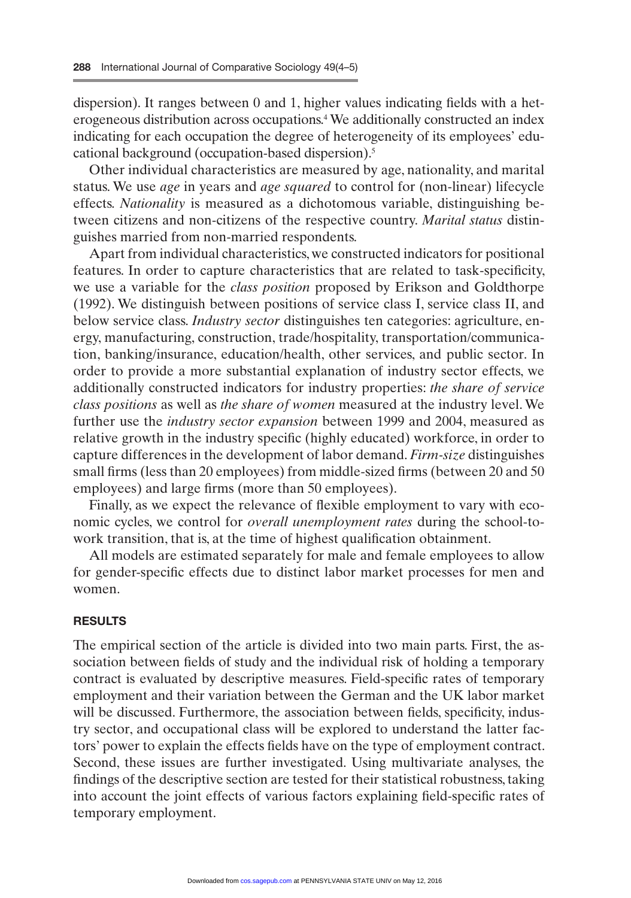dispersion). It ranges between  $0$  and  $1$ , higher values indicating fields with a heterogeneous distribution across occupations.4 We additionally constructed an index indicating for each occupation the degree of heterogeneity of its employees' educational background (occupation-based dispersion).5

Other individual characteristics are measured by age, nationality, and marital status. We use *age* in years and *age squared* to control for (non-linear) lifecycle effects. *Nationality* is measured as a dichotomous variable, distinguishing between citizens and non-citizens of the respective country. *Marital status* distinguishes married from non-married respondents.

Apart from individual characteristics, we constructed indicators for positional features. In order to capture characteristics that are related to task-specificity, we use a variable for the *class position* proposed by Erikson and Goldthorpe (1992). We distinguish between positions of service class I, service class II, and below service class. *Industry sector* distinguishes ten categories: agriculture, energy, manufacturing, construction, trade/hospitality, transportation/communication, banking/insurance, education/health, other services, and public sector. In order to provide a more substantial explanation of industry sector effects, we additionally constructed indicators for industry properties: *the share of service class positions* as well as *the share of women* measured at the industry level. We further use the *industry sector expansion* between 1999 and 2004, measured as relative growth in the industry specific (highly educated) workforce, in order to capture differences in the development of labor demand. *Firm-size* distinguishes small firms (less than 20 employees) from middle-sized firms (between 20 and 50 employees) and large firms (more than 50 employees).

Finally, as we expect the relevance of flexible employment to vary with economic cycles, we control for *overall unemployment rates* during the school-towork transition, that is, at the time of highest qualification obtainment.

All models are estimated separately for male and female employees to allow for gender-specific effects due to distinct labor market processes for men and women.

## **RESULTS**

The empirical section of the article is divided into two main parts. First, the association between fields of study and the individual risk of holding a temporary contract is evaluated by descriptive measures. Field-specific rates of temporary employment and their variation between the German and the UK labor market will be discussed. Furthermore, the association between fields, specificity, industry sector, and occupational class will be explored to understand the latter factors' power to explain the effects fields have on the type of employment contract. Second, these issues are further investigated. Using multivariate analyses, the findings of the descriptive section are tested for their statistical robustness, taking into account the joint effects of various factors explaining field-specific rates of temporary employment.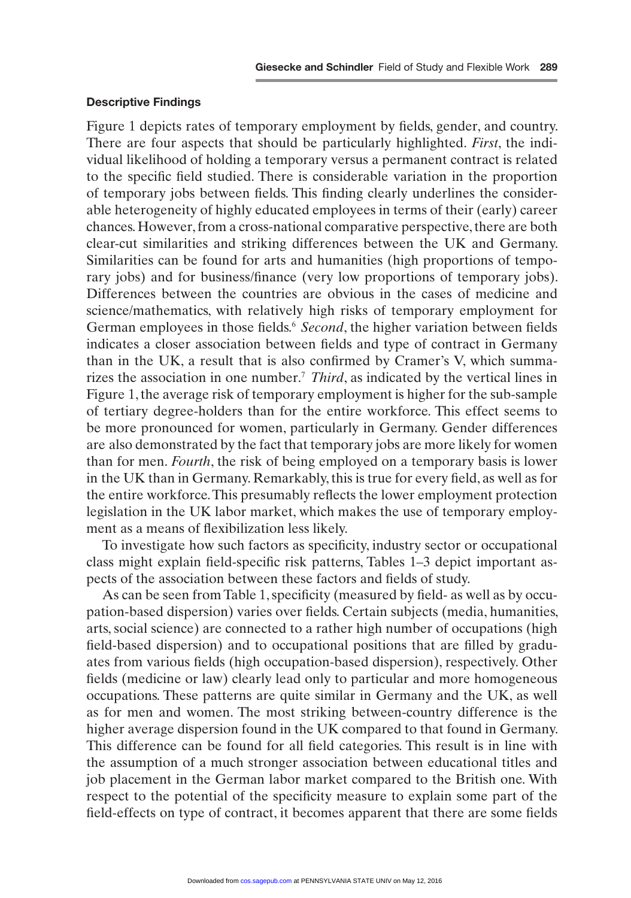## **Descriptive Findings**

Figure 1 depicts rates of temporary employment by fields, gender, and country. There are four aspects that should be particularly highlighted. *First*, the individual likelihood of holding a temporary versus a permanent contract is related to the specific field studied. There is considerable variation in the proportion of temporary jobs between fields. This finding clearly underlines the considerable heterogeneity of highly educated employees in terms of their (early) career chances. However, from a cross-national comparative perspective, there are both clear-cut similarities and striking differences between the UK and Germany. Similarities can be found for arts and humanities (high proportions of temporary jobs) and for business/finance (very low proportions of temporary jobs). Differences between the countries are obvious in the cases of medicine and science/mathematics, with relatively high risks of temporary employment for German employees in those fields.<sup>6</sup> *Second*, the higher variation between fields indicates a closer association between fields and type of contract in Germany than in the UK, a result that is also confirmed by Cramer's V, which summarizes the association in one number.7 *Third*, as indicated by the vertical lines in Figure 1, the average risk of temporary employment is higher for the sub-sample of tertiary degree-holders than for the entire workforce. This effect seems to be more pronounced for women, particularly in Germany. Gender differences are also demonstrated by the fact that temporary jobs are more likely for women than for men. *Fourth*, the risk of being employed on a temporary basis is lower in the UK than in Germany. Remarkably, this is true for every field, as well as for the entire workforce. This presumably reflects the lower employment protection legislation in the UK labor market, which makes the use of temporary employment as a means of flexibilization less likely.

To investigate how such factors as specificity, industry sector or occupational class might explain field-specific risk patterns, Tables 1–3 depict important aspects of the association between these factors and fields of study.

As can be seen from Table 1, specificity (measured by field- as well as by occupation-based dispersion) varies over fields. Certain subjects (media, humanities, arts, social science) are connected to a rather high number of occupations (high field-based dispersion) and to occupational positions that are filled by graduates from various fields (high occupation-based dispersion), respectively. Other fields (medicine or law) clearly lead only to particular and more homogeneous occupations. These patterns are quite similar in Germany and the UK, as well as for men and women. The most striking between-country difference is the higher average dispersion found in the UK compared to that found in Germany. This difference can be found for all field categories. This result is in line with the assumption of a much stronger association between educational titles and job placement in the German labor market compared to the British one. With respect to the potential of the specificity measure to explain some part of the field-effects on type of contract, it becomes apparent that there are some fields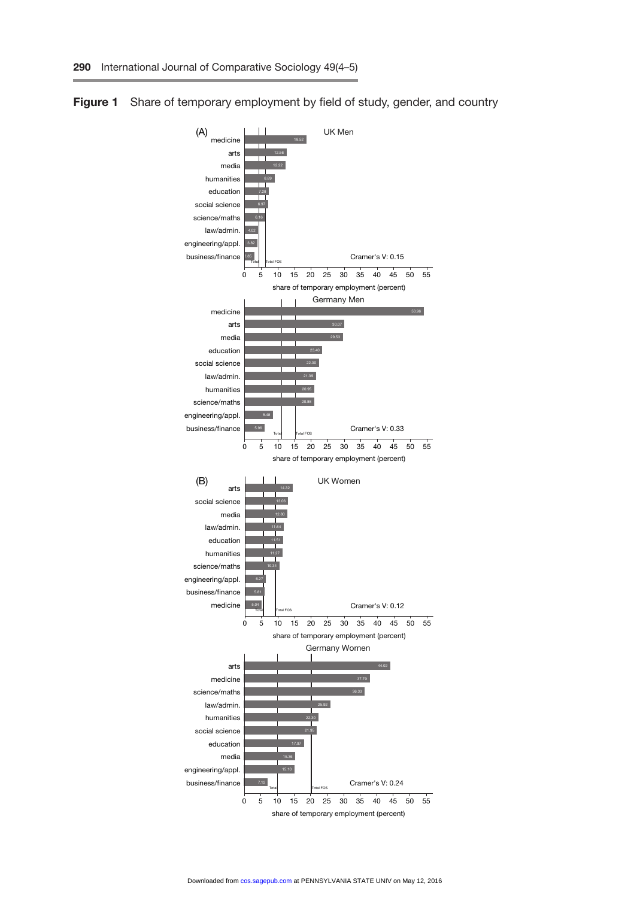

**Figure 1** Share of temporary employment by field of study, gender, and country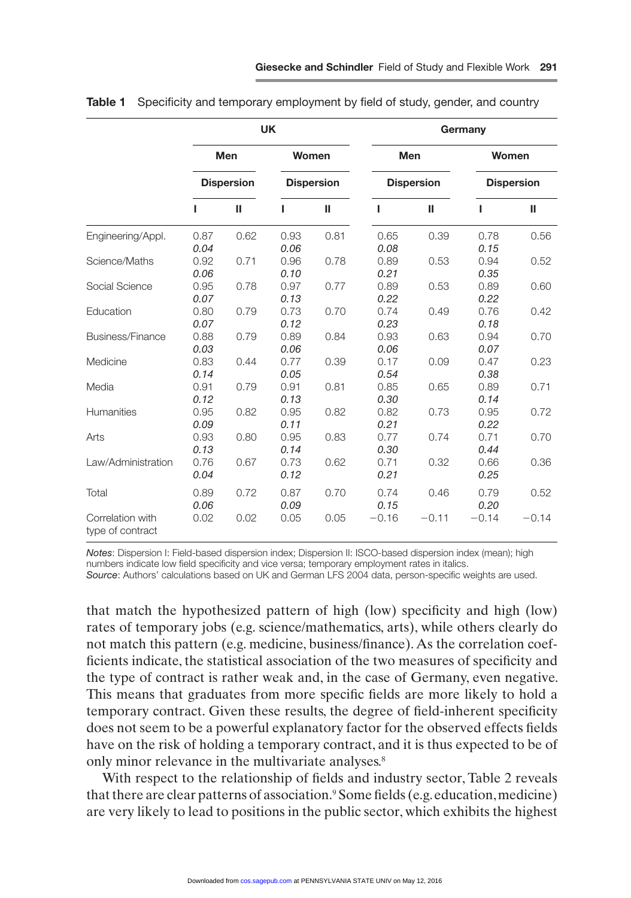|                                      |              |                   | <b>UK</b>    |                   |              |                   | Germany      |                   |
|--------------------------------------|--------------|-------------------|--------------|-------------------|--------------|-------------------|--------------|-------------------|
|                                      |              | Men               | Women        |                   |              | Men               |              | Women             |
|                                      |              | <b>Dispersion</b> |              | <b>Dispersion</b> |              | <b>Dispersion</b> |              | <b>Dispersion</b> |
|                                      | L            | $\mathbf{I}$      | ı            | $\mathbf{I}$      | ı            | $\mathbf{H}$      | ı            | Ш                 |
| Engineering/Appl.                    | 0.87<br>0.04 | 0.62              | 0.93<br>0.06 | 0.81              | 0.65<br>0.08 | 0.39              | 0.78<br>0.15 | 0.56              |
| Science/Maths                        | 0.92<br>0.06 | 0.71              | 0.96<br>0.10 | 0.78              | 0.89<br>0.21 | 0.53              | 0.94<br>0.35 | 0.52              |
| Social Science                       | 0.95<br>0.07 | 0.78              | 0.97<br>0.13 | 0.77              | 0.89<br>0.22 | 0.53              | 0.89<br>0.22 | 0.60              |
| Education                            | 0.80<br>0.07 | 0.79              | 0.73<br>0.12 | 0.70              | 0.74<br>0.23 | 0.49              | 0.76<br>0.18 | 0.42              |
| Business/Finance                     | 0.88<br>0.03 | 0.79              | 0.89<br>0.06 | 0.84              | 0.93<br>0.06 | 0.63              | 0.94<br>0.07 | 0.70              |
| Medicine                             | 0.83<br>0.14 | 0.44              | 0.77<br>0.05 | 0.39              | 0.17<br>0.54 | 0.09              | 0.47<br>0.38 | 0.23              |
| Media                                | 0.91<br>0.12 | 0.79              | 0.91<br>0.13 | 0.81              | 0.85<br>0.30 | 0.65              | 0.89<br>0.14 | 0.71              |
| Humanities                           | 0.95<br>0.09 | 0.82              | 0.95<br>0.11 | 0.82              | 0.82<br>0.21 | 0.73              | 0.95<br>0.22 | 0.72              |
| Arts                                 | 0.93<br>0.13 | 0.80              | 0.95<br>0.14 | 0.83              | 0.77<br>0.30 | 0.74              | 0.71<br>0.44 | 0.70              |
| Law/Administration                   | 0.76<br>0.04 | 0.67              | 0.73<br>0.12 | 0.62              | 0.71<br>0.21 | 0.32              | 0.66<br>0.25 | 0.36              |
| Total                                | 0.89<br>0.06 | 0.72              | 0.87<br>0.09 | 0.70              | 0.74<br>0.15 | 0.46              | 0.79<br>0.20 | 0.52              |
| Correlation with<br>type of contract | 0.02         | 0.02              | 0.05         | 0.05              | $-0.16$      | $-0.11$           | $-0.14$      | $-0.14$           |

**Table 1** Specificity and temporary employment by field of study, gender, and country

*Notes*: Dispersion I: Field-based dispersion index; Dispersion II: ISCO-based dispersion index (mean); high numbers indicate low field specificity and vice versa; temporary employment rates in italics.

Source: Authors' calculations based on UK and German LFS 2004 data, person-specific weights are used.

that match the hypothesized pattern of high (low) specificity and high (low) rates of temporary jobs (e.g. science/mathematics, arts), while others clearly do not match this pattern (e.g. medicine, business/finance). As the correlation coefficients indicate, the statistical association of the two measures of specificity and the type of contract is rather weak and, in the case of Germany, even negative. This means that graduates from more specific fields are more likely to hold a temporary contract. Given these results, the degree of field-inherent specificity does not seem to be a powerful explanatory factor for the observed effects fields have on the risk of holding a temporary contract, and it is thus expected to be of only minor relevance in the multivariate analyses.<sup>8</sup>

With respect to the relationship of fields and industry sector, Table 2 reveals that there are clear patterns of association.<sup>9</sup> Some fields (e.g. education, medicine) are very likely to lead to positions in the public sector, which exhibits the highest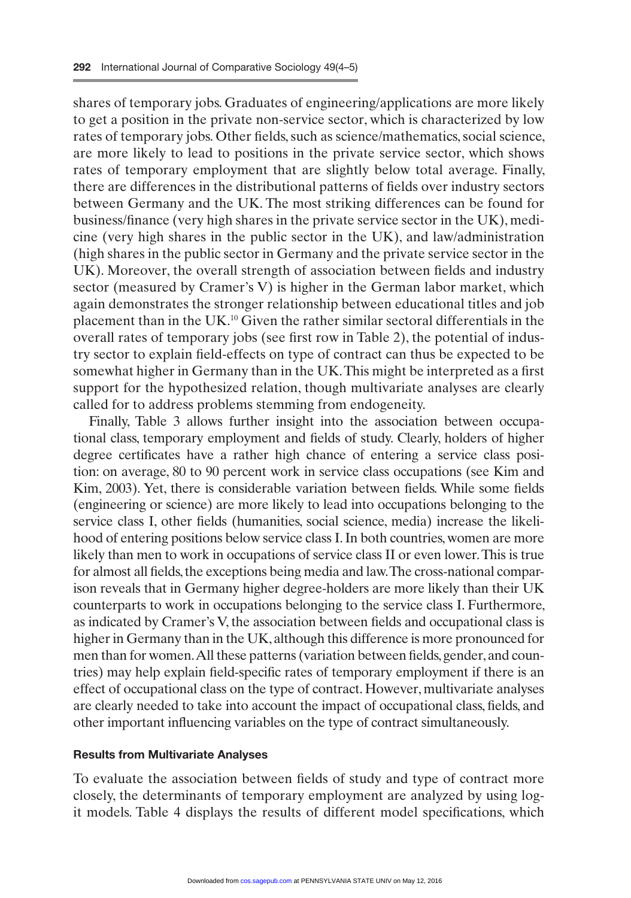shares of temporary jobs. Graduates of engineering/applications are more likely to get a position in the private non-service sector, which is characterized by low rates of temporary jobs. Other fields, such as science/mathematics, social science, are more likely to lead to positions in the private service sector, which shows rates of temporary employment that are slightly below total average. Finally, there are differences in the distributional patterns of fields over industry sectors between Germany and the UK. The most striking differences can be found for business/finance (very high shares in the private service sector in the UK), medicine (very high shares in the public sector in the UK), and law/administration (high shares in the public sector in Germany and the private service sector in the UK). Moreover, the overall strength of association between fields and industry sector (measured by Cramer's V) is higher in the German labor market, which again demonstrates the stronger relationship between educational titles and job placement than in the UK.10 Given the rather similar sectoral differentials in the overall rates of temporary jobs (see first row in Table 2), the potential of industry sector to explain field-effects on type of contract can thus be expected to be somewhat higher in Germany than in the UK. This might be interpreted as a first support for the hypothesized relation, though multivariate analyses are clearly called for to address problems stemming from endogeneity.

Finally, Table 3 allows further insight into the association between occupational class, temporary employment and fields of study. Clearly, holders of higher degree certificates have a rather high chance of entering a service class position: on average, 80 to 90 percent work in service class occupations (see Kim and Kim, 2003). Yet, there is considerable variation between fields. While some fields (engineering or science) are more likely to lead into occupations belonging to the service class I, other fields (humanities, social science, media) increase the likelihood of entering positions below service class I. In both countries, women are more likely than men to work in occupations of service class II or even lower. This is true for almost all fields, the exceptions being media and law. The cross-national comparison reveals that in Germany higher degree-holders are more likely than their UK counterparts to work in occupations belonging to the service class I. Furthermore, as indicated by Cramer's V, the association between fields and occupational class is higher in Germany than in the UK, although this difference is more pronounced for men than for women. All these patterns (variation between fields, gender, and countries) may help explain field-specific rates of temporary employment if there is an effect of occupational class on the type of contract. However, multivariate analyses are clearly needed to take into account the impact of occupational class, fields, and other important influencing variables on the type of contract simultaneously.

#### **Results from Multivariate Analyses**

To evaluate the association between fields of study and type of contract more closely, the determinants of temporary employment are analyzed by using logit models. Table 4 displays the results of different model specifications, which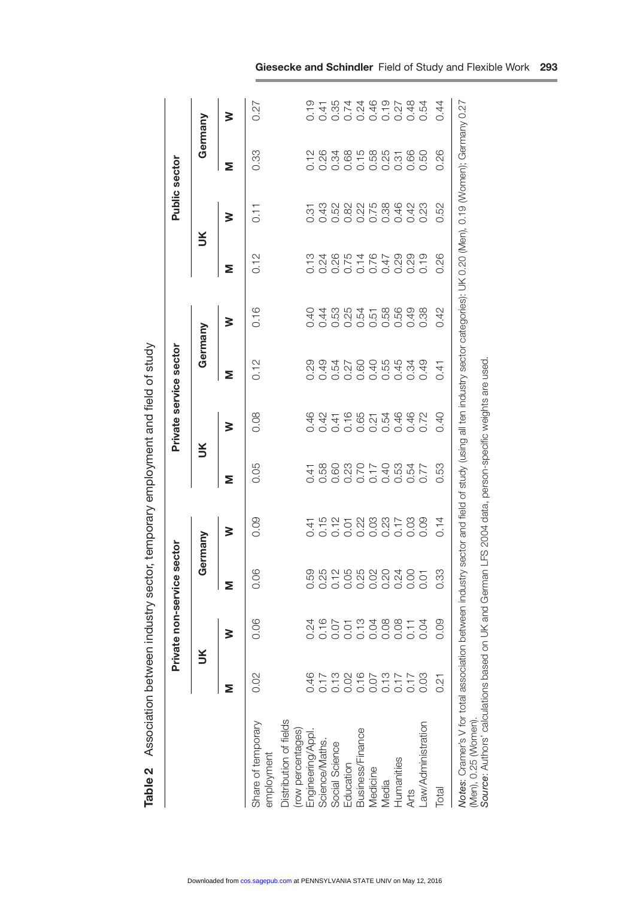| 0000<br>24460<br>24460<br>Germany<br>0.33<br>0.12<br>0.26<br>0.15<br>0.25<br>0.26<br>0.68<br>0.58<br>0.34<br>0.66<br>0.50<br>0.31<br>Σ<br>0.82<br>0.22<br>0.75<br>0.38<br>0.46<br>0.52<br>0.43<br>0.52<br>0.42<br>0.23<br>$\overline{11}$<br>0.31<br>≩<br>š<br>0.12<br>0.26<br>0.13<br>000000<br>000000<br>00000<br>0.29<br>0.29<br>0.19<br>0.24<br>Σ<br>0.16<br>0.58<br>0.42<br>0.25<br>0.56<br>0.49<br>0.38<br>0.40<br>0.44<br>0.53<br>0.54<br>0.51<br>≩<br>Germany<br>0.12<br>0.29<br>0.55<br>0.45<br>0.49<br>0.54<br>0.27<br>0.60<br>0.40<br>0.34<br>0.49<br>0.41<br>Σ<br>0.46<br>0.08<br>0.42<br>0.65<br>0.46<br>0.46<br>0.16<br>0.54<br>0.72<br>0.40<br>0.41<br>0.21<br>⋧<br>š<br>0.05<br>0.58<br>0.23<br>0.017<br>0.40<br>0.53<br>0.54<br>0.53<br>0.60<br>0.41<br>0.77<br>Σ<br>0.09<br>0.22<br>0.03<br>0.23<br>0.15<br>0.12<br>0.17<br>0.03<br>0.14<br><b>0.09</b><br>0.01<br>0.41<br>≩<br>Germany<br>0.06<br>0.59<br>0.12<br>0.25<br>0.02<br>0.25<br>0.05<br>0.20<br>0.24<br>0.00<br>0.33<br>0.01<br>Σ<br>0.06<br>0.24<br>0.16<br>0000000<br>0000000<br>0.09<br>0.11<br>0.04<br>≩<br>š<br>$\circ$ $\sim$<br>1306<br>19505<br>1950000<br>0.02<br>0.03<br>Σ<br>Distribution of fields<br>(row percentages)<br>Engineering/Appl.<br>Science/Maths.<br>Law/Administration<br>Share of temporary<br>Business/Finance<br>Social Science<br>Education<br>employment<br>Humanities<br>Medicine<br>Media<br><b>Arts</b> |       | Private non-service sector |  |  | Private service sector |  | <b>Public sector</b> |      |
|------------------------------------------------------------------------------------------------------------------------------------------------------------------------------------------------------------------------------------------------------------------------------------------------------------------------------------------------------------------------------------------------------------------------------------------------------------------------------------------------------------------------------------------------------------------------------------------------------------------------------------------------------------------------------------------------------------------------------------------------------------------------------------------------------------------------------------------------------------------------------------------------------------------------------------------------------------------------------------------------------------------------------------------------------------------------------------------------------------------------------------------------------------------------------------------------------------------------------------------------------------------------------------------------------------------------------------------------------------------------------------------------------------------------|-------|----------------------------|--|--|------------------------|--|----------------------|------|
|                                                                                                                                                                                                                                                                                                                                                                                                                                                                                                                                                                                                                                                                                                                                                                                                                                                                                                                                                                                                                                                                                                                                                                                                                                                                                                                                                                                                                        |       |                            |  |  |                        |  |                      |      |
|                                                                                                                                                                                                                                                                                                                                                                                                                                                                                                                                                                                                                                                                                                                                                                                                                                                                                                                                                                                                                                                                                                                                                                                                                                                                                                                                                                                                                        |       |                            |  |  |                        |  |                      | ≩    |
|                                                                                                                                                                                                                                                                                                                                                                                                                                                                                                                                                                                                                                                                                                                                                                                                                                                                                                                                                                                                                                                                                                                                                                                                                                                                                                                                                                                                                        |       |                            |  |  |                        |  |                      | 0.27 |
|                                                                                                                                                                                                                                                                                                                                                                                                                                                                                                                                                                                                                                                                                                                                                                                                                                                                                                                                                                                                                                                                                                                                                                                                                                                                                                                                                                                                                        |       |                            |  |  |                        |  |                      |      |
|                                                                                                                                                                                                                                                                                                                                                                                                                                                                                                                                                                                                                                                                                                                                                                                                                                                                                                                                                                                                                                                                                                                                                                                                                                                                                                                                                                                                                        |       |                            |  |  |                        |  |                      | 0.19 |
|                                                                                                                                                                                                                                                                                                                                                                                                                                                                                                                                                                                                                                                                                                                                                                                                                                                                                                                                                                                                                                                                                                                                                                                                                                                                                                                                                                                                                        |       |                            |  |  |                        |  |                      | 0.41 |
|                                                                                                                                                                                                                                                                                                                                                                                                                                                                                                                                                                                                                                                                                                                                                                                                                                                                                                                                                                                                                                                                                                                                                                                                                                                                                                                                                                                                                        |       |                            |  |  |                        |  |                      | 0.35 |
|                                                                                                                                                                                                                                                                                                                                                                                                                                                                                                                                                                                                                                                                                                                                                                                                                                                                                                                                                                                                                                                                                                                                                                                                                                                                                                                                                                                                                        |       |                            |  |  |                        |  |                      |      |
|                                                                                                                                                                                                                                                                                                                                                                                                                                                                                                                                                                                                                                                                                                                                                                                                                                                                                                                                                                                                                                                                                                                                                                                                                                                                                                                                                                                                                        |       |                            |  |  |                        |  |                      |      |
|                                                                                                                                                                                                                                                                                                                                                                                                                                                                                                                                                                                                                                                                                                                                                                                                                                                                                                                                                                                                                                                                                                                                                                                                                                                                                                                                                                                                                        |       |                            |  |  |                        |  |                      |      |
|                                                                                                                                                                                                                                                                                                                                                                                                                                                                                                                                                                                                                                                                                                                                                                                                                                                                                                                                                                                                                                                                                                                                                                                                                                                                                                                                                                                                                        |       |                            |  |  |                        |  |                      |      |
|                                                                                                                                                                                                                                                                                                                                                                                                                                                                                                                                                                                                                                                                                                                                                                                                                                                                                                                                                                                                                                                                                                                                                                                                                                                                                                                                                                                                                        |       |                            |  |  |                        |  |                      | 0.27 |
|                                                                                                                                                                                                                                                                                                                                                                                                                                                                                                                                                                                                                                                                                                                                                                                                                                                                                                                                                                                                                                                                                                                                                                                                                                                                                                                                                                                                                        |       |                            |  |  |                        |  |                      | 0.48 |
|                                                                                                                                                                                                                                                                                                                                                                                                                                                                                                                                                                                                                                                                                                                                                                                                                                                                                                                                                                                                                                                                                                                                                                                                                                                                                                                                                                                                                        |       |                            |  |  |                        |  |                      | 0.54 |
|                                                                                                                                                                                                                                                                                                                                                                                                                                                                                                                                                                                                                                                                                                                                                                                                                                                                                                                                                                                                                                                                                                                                                                                                                                                                                                                                                                                                                        | Total |                            |  |  |                        |  |                      | 0.44 |

Table 2 Association between industry sector, temporary employment and field of study **Table 2** Association between industry sector, temporary employment and field of study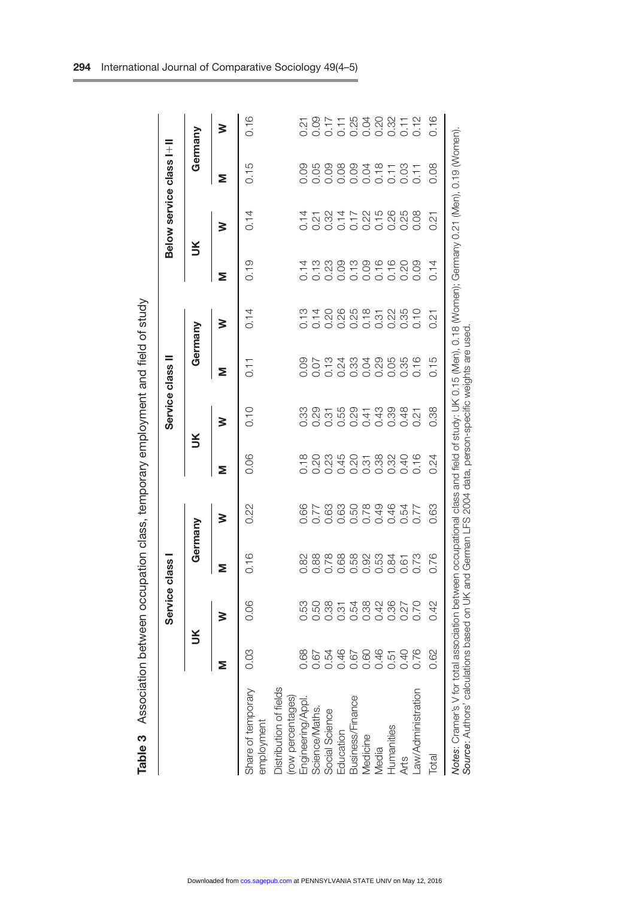| )<br>)<br>)                                                                           | cepin a<br>cicles e<br><b>Below service</b><br>このこと |
|---------------------------------------------------------------------------------------|-----------------------------------------------------|
| - בית המוסיק לו המוניקי היי                                                           |                                                     |
| Table 3 Association between occupation class, temporary employment and field of study | )<br>)<br>)<br>)<br><b>SPIP</b>                     |
|                                                                                       |                                                     |

Service class I

|                                                                                                                                                       | К    |      | Germany      |      | š                |                     | Germany         |      | š                |                | Germany             |               |
|-------------------------------------------------------------------------------------------------------------------------------------------------------|------|------|--------------|------|------------------|---------------------|-----------------|------|------------------|----------------|---------------------|---------------|
|                                                                                                                                                       | Σ    | ≷    | Σ            | ℥    | Σ                | ≩                   | Σ               | ≳    | Σ                | ⋧              | Σ                   | ⋧             |
| Share of temporary<br>employment                                                                                                                      | 0.03 | 0.06 | 0.16         | 0.22 | 0.06             | 0.10                | 0.11            | 0.14 | 0.19             | 0.14           | 0.15                | 0.16          |
| Distribution of fields                                                                                                                                |      |      |              |      |                  |                     |                 |      |                  |                |                     |               |
| (row percentages)                                                                                                                                     |      |      |              |      |                  |                     |                 |      |                  |                |                     |               |
| Engineering/Appl                                                                                                                                      | 0.68 | 0.53 | 0.82         | 0.66 | 0.18             | 0.33                | 0.09            | 0.13 | 0.13<br>0.13     | 0.14           | 0.09                | 0.21          |
| Science/Maths.                                                                                                                                        | 0.67 | 0.50 | 0.88         | 0.77 | 0.20             | 0.29                | 0.07            | 0.14 |                  | 0.21           | 0.05                | 0.09          |
| Social Science                                                                                                                                        | 0.54 | 0.38 |              | 0.63 |                  | 0.31                |                 | 0.20 |                  |                | 0.09                | 7.17          |
| Education                                                                                                                                             | 0.46 | 0.31 | 0.68         | 0.63 | 0.23<br>0.45     | 0.55                | 0.13<br>0.24    | 0.26 |                  |                | 0.08                |               |
| Business/Finance                                                                                                                                      | 0.67 | 0.54 | 0.58         | 0.50 | 0.20             |                     |                 | 0.25 |                  | 0.017<br>0.017 | <b>0.09</b>         | 0.75          |
| Medicine                                                                                                                                              | 0.60 | 0.38 |              |      |                  | 0<br>0 1 4<br>0 0 0 | ೫ ತ ನಿ<br>೧ ೧ ೧ | 0.18 | 882899<br>882899 |                |                     |               |
| Media                                                                                                                                                 | 0.46 | 0.42 | 0.53<br>0.53 | 0.49 | $0.31$<br>$0.38$ |                     |                 | 0.31 |                  | 0.22<br>0.15   | 0.18<br>0.18<br>0.0 | 0.0.0<br>2.81 |
| Humanities                                                                                                                                            | 0.51 | 0.36 | 0.84         | 0.46 | 0.32             | 0.39                | 0.05            | 0.22 |                  | 0.26           |                     |               |
| <b>Arts</b>                                                                                                                                           | 0.40 | 0.27 | 0.61         | 0.54 | 0.40             | 0.48                | 0.35            | 0.35 | 0.20             | 0.25           | 0.03                | 7.11          |
| Law/Administration                                                                                                                                    | 0.76 | 0.70 | 0.73         | 0.77 | 0.16             | 0.21                | 0.16            | 0.10 | 0.09             | 0.08           | $\frac{1}{10}$      | 2.12          |
| Total                                                                                                                                                 | 0.62 | 0.42 | 0.76         | 0.63 | 0.24             | 0.38                | 0.15            | 0.21 | 0.14             | 0.21           | 0.08                | 0.16          |
| Notes: Cramer's V for total association between occupational class and field of study: UK 0.15 (Mem), 0.18 (Women); Germany 0.21 (Men), 0.19 (Women); |      |      |              |      |                  |                     |                 |      |                  |                |                     |               |

*Notes*: Cramer's V for total association between occupational class and fi eld of study: UK 0.15 (Men), 0.18 (Women); Germany 0.21 (Men), 0.19 (Women). ŝ Ė. r weer of the second temperature in the Capital State (Second Adata, person-specific weights are used.<br>Source: Authors' calculations based on UK and German LFS 2004 data, person-specific weights are used. *Source*: Authors' calculations based on UK and German LFS 2004 data, person-specifi c weights are used.

Below service class  $I+II$ 

Service class II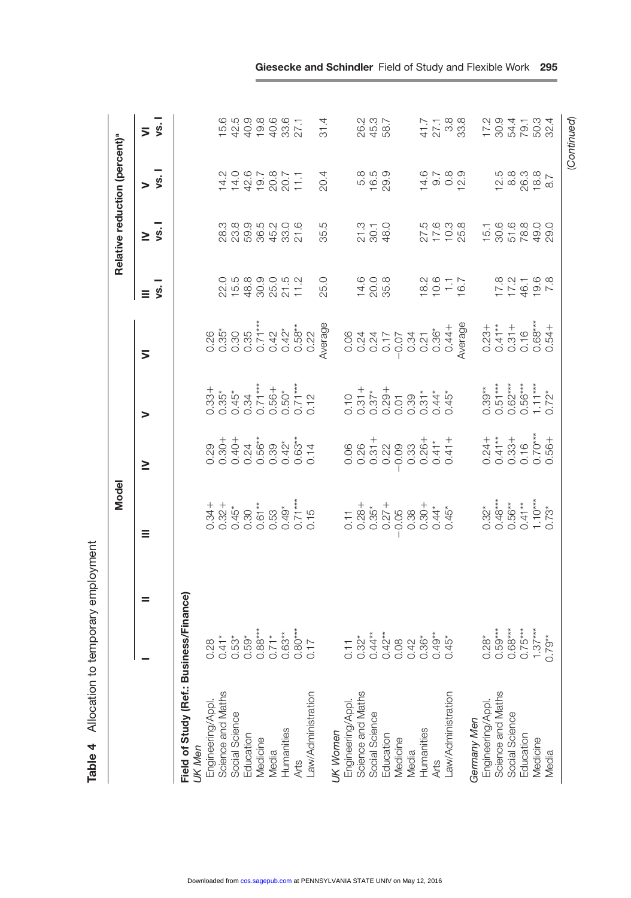|                                                   |                   | <b>Model</b>                                                                                                                                                                                                                                                   |                                                                                                                                                                                         |                                                   |                                                                                                                                                                                                                                                                                                                 |                      | Relative reduction (percent) <sup>ª</sup>             |                         |                                             |
|---------------------------------------------------|-------------------|----------------------------------------------------------------------------------------------------------------------------------------------------------------------------------------------------------------------------------------------------------------|-----------------------------------------------------------------------------------------------------------------------------------------------------------------------------------------|---------------------------------------------------|-----------------------------------------------------------------------------------------------------------------------------------------------------------------------------------------------------------------------------------------------------------------------------------------------------------------|----------------------|-------------------------------------------------------|-------------------------|---------------------------------------------|
|                                                   |                   | Ξ                                                                                                                                                                                                                                                              | ≥                                                                                                                                                                                       | >                                                 | 5                                                                                                                                                                                                                                                                                                               | ý.<br>Ξ              | ý,<br>≥                                               | Ś.                      | $\overline{\mathbf{s}}$ .<br>$\overline{5}$ |
| Field of Study (Ref.: Business/Finance)<br>UK Men |                   |                                                                                                                                                                                                                                                                |                                                                                                                                                                                         |                                                   |                                                                                                                                                                                                                                                                                                                 |                      |                                                       |                         |                                             |
| Engineering/Appl.                                 | 0.28              | $0.34 +$                                                                                                                                                                                                                                                       | 0.29                                                                                                                                                                                    |                                                   |                                                                                                                                                                                                                                                                                                                 |                      |                                                       |                         |                                             |
| Science and Maths                                 | $0.41*$           | $0.32 +$                                                                                                                                                                                                                                                       | $0.30 +$                                                                                                                                                                                | $0.33^{+}_{-0.35}$                                | 0.26<br>0.35*                                                                                                                                                                                                                                                                                                   |                      |                                                       |                         |                                             |
| Social Science                                    | $0.53*$           | $0.45*$                                                                                                                                                                                                                                                        |                                                                                                                                                                                         | $0.45$ <sup>*</sup><br>0.34<br>0.71 ***<br>0.56 + | $\begin{array}{l} 300 \\ 305 \\ 0.35 \\ 0.71 \\ 0.44 \\ 0.5 \\ 0.00 \\ 0.00 \\ 0.00 \\ 0.00 \\ 0.00 \\ 0.00 \\ 0.00 \\ 0.00 \\ 0.00 \\ 0.00 \\ 0.00 \\ 0.00 \\ 0.00 \\ 0.00 \\ 0.00 \\ 0.00 \\ 0.00 \\ 0.00 \\ 0.00 \\ 0.00 \\ 0.00 \\ 0.00 \\ 0.00 \\ 0.00 \\ 0.00 \\ 0.00 \\ 0.00 \\ 0.00 \\ 0.00 \\ 0.00 \\$ |                      | 8 8 9 9 9 9 9 9 9<br>8 9 9 9 9 9 9 7<br>8 9 9 9 9 9 0 | 1445881<br>445881       |                                             |
| Education                                         | $0.59*$           | $0.30$<br>$0.61**$                                                                                                                                                                                                                                             |                                                                                                                                                                                         |                                                   |                                                                                                                                                                                                                                                                                                                 |                      |                                                       |                         |                                             |
| Medicine                                          | $0.88***$         |                                                                                                                                                                                                                                                                |                                                                                                                                                                                         |                                                   |                                                                                                                                                                                                                                                                                                                 |                      |                                                       |                         |                                             |
| Media                                             | $0.71*$           | 0.53                                                                                                                                                                                                                                                           |                                                                                                                                                                                         |                                                   |                                                                                                                                                                                                                                                                                                                 |                      |                                                       |                         |                                             |
| Humanities                                        | $0.63**$          | $0.49*$                                                                                                                                                                                                                                                        | $\begin{array}{ccccccccc} 0 & 0 & 0 & 0 & 0 & 0 & 0 \\ 0 & 0 & 0 & 0 & 0 & 0 & 0 \\ 0 & 0 & 0 & 0 & 0 & 0 & 0 \\ 0 & 0 & 0 & 0 & 0 & 0 & 0 \\ 0 & 0 & 0 & 0 & 0 & 0 & 0 \\ \end{array}$ | $0.50*$                                           |                                                                                                                                                                                                                                                                                                                 |                      |                                                       |                         |                                             |
| Arts                                              | $0.80***$         | $0.71***$                                                                                                                                                                                                                                                      |                                                                                                                                                                                         |                                                   |                                                                                                                                                                                                                                                                                                                 |                      |                                                       |                         |                                             |
| _aw/Administration                                | 0.17              | 0.15                                                                                                                                                                                                                                                           | 0.14                                                                                                                                                                                    | $0.71***$<br>0.12                                 | 0.22                                                                                                                                                                                                                                                                                                            |                      |                                                       |                         |                                             |
|                                                   |                   |                                                                                                                                                                                                                                                                |                                                                                                                                                                                         |                                                   | Average                                                                                                                                                                                                                                                                                                         | 25.0                 | 35.5                                                  | 20.4                    | 31.4                                        |
| UK Women                                          |                   |                                                                                                                                                                                                                                                                |                                                                                                                                                                                         |                                                   |                                                                                                                                                                                                                                                                                                                 |                      |                                                       |                         |                                             |
| Engineering/Appl.                                 | $-110$            | 0.11                                                                                                                                                                                                                                                           |                                                                                                                                                                                         |                                                   |                                                                                                                                                                                                                                                                                                                 |                      |                                                       |                         |                                             |
| Science and Maths                                 | $0.32*$           |                                                                                                                                                                                                                                                                |                                                                                                                                                                                         |                                                   |                                                                                                                                                                                                                                                                                                                 |                      |                                                       |                         |                                             |
| Social Science                                    | $0.44***$         | $0.28 + 0.27 + 0.27 + 0.027 + 0.027 + 0.027 + 0.027 + 0.027 + 0.027 + 0.027 + 0.027 + 0.027 + 0.027 + 0.027 + 0.027 + 0.027 + 0.027 + 0.027 + 0.027 + 0.027 + 0.027 + 0.027 + 0.027 + 0.027 + 0.027 + 0.027 + 0.027 + 0.027 + 0.027 + 0.027 + 0.027 + 0.027 +$ |                                                                                                                                                                                         |                                                   |                                                                                                                                                                                                                                                                                                                 | $14008$<br>$408$     | $21.0$<br>$7.0$<br>$48$                               | 8<br>6 19 20<br>6 19 20 | 2<br>2<br>2<br>3<br>3<br>5<br>3<br>5        |
| Education                                         | $0.42**$          |                                                                                                                                                                                                                                                                |                                                                                                                                                                                         |                                                   |                                                                                                                                                                                                                                                                                                                 |                      |                                                       |                         |                                             |
| Medicine                                          | 0.08              | 0.05                                                                                                                                                                                                                                                           |                                                                                                                                                                                         |                                                   |                                                                                                                                                                                                                                                                                                                 |                      |                                                       |                         |                                             |
| Media                                             | $0.42$<br>$0.36*$ | 0.38                                                                                                                                                                                                                                                           |                                                                                                                                                                                         |                                                   |                                                                                                                                                                                                                                                                                                                 |                      |                                                       |                         |                                             |
| Humanities                                        |                   | $0.30 +$                                                                                                                                                                                                                                                       |                                                                                                                                                                                         |                                                   |                                                                                                                                                                                                                                                                                                                 |                      |                                                       |                         |                                             |
| Arts                                              | $0.49**$          | $0.44*$                                                                                                                                                                                                                                                        |                                                                                                                                                                                         |                                                   |                                                                                                                                                                                                                                                                                                                 |                      |                                                       |                         | 41.7<br>27.1                                |
| Law/Administration                                | $0.45*$           | $0.45*$                                                                                                                                                                                                                                                        | $0.41 +$                                                                                                                                                                                |                                                   |                                                                                                                                                                                                                                                                                                                 | $\frac{20007}{1007}$ | 27.038<br>27.038                                      | $140000$<br>$140000$    | 33.8                                        |
|                                                   |                   |                                                                                                                                                                                                                                                                |                                                                                                                                                                                         |                                                   | Average                                                                                                                                                                                                                                                                                                         |                      |                                                       |                         |                                             |
| Germany Men                                       |                   |                                                                                                                                                                                                                                                                |                                                                                                                                                                                         |                                                   |                                                                                                                                                                                                                                                                                                                 |                      |                                                       |                         |                                             |
| Engineering/Appl.                                 | $0.28*$           | $0.32*$                                                                                                                                                                                                                                                        |                                                                                                                                                                                         |                                                   |                                                                                                                                                                                                                                                                                                                 |                      |                                                       |                         |                                             |
| Science and Maths                                 | $0.59***$         | $0.48***$                                                                                                                                                                                                                                                      |                                                                                                                                                                                         | $0.39***$<br>0.51***                              | $0.23 + 0.41**$                                                                                                                                                                                                                                                                                                 |                      |                                                       |                         |                                             |
| Social Science                                    | $0.68***$         | $0.56**$                                                                                                                                                                                                                                                       |                                                                                                                                                                                         |                                                   | $0.31 +$                                                                                                                                                                                                                                                                                                        |                      |                                                       |                         |                                             |
| Education                                         | $0.75***$         | $0.41**$                                                                                                                                                                                                                                                       | $0.16$<br>$0.70***$                                                                                                                                                                     | $0.62***$<br>0.56***                              |                                                                                                                                                                                                                                                                                                                 | $774000$<br>$774000$ |                                                       | ra<br>10 အ<br>10 အ (၁ အ |                                             |
| Medicine                                          | $1.37***$         | $1.10***$                                                                                                                                                                                                                                                      |                                                                                                                                                                                         | $1.11***$                                         | $0.16$<br>$0.68***$                                                                                                                                                                                                                                                                                             |                      |                                                       |                         |                                             |
| Media                                             | $0.79**$          | $0.73*$                                                                                                                                                                                                                                                        | $0.56 +$                                                                                                                                                                                | $0.72*$                                           | $0.54 +$                                                                                                                                                                                                                                                                                                        |                      |                                                       | 8.7                     | インスクレクス<br>アンムククス<br>グラムトラム                 |
|                                                   |                   |                                                                                                                                                                                                                                                                |                                                                                                                                                                                         |                                                   |                                                                                                                                                                                                                                                                                                                 |                      |                                                       |                         | (Continued)                                 |

**Giesecke and Schindler** Field of Study and Flexible Work **295**

Downloaded from [cos.sagepub.com](http://cos.sagepub.com/) at PENNSYLVANIA STATE UNIV on May 12, 2016

**Table 4** Allocation to temporary employment

Table 4 Allocation to temporary employment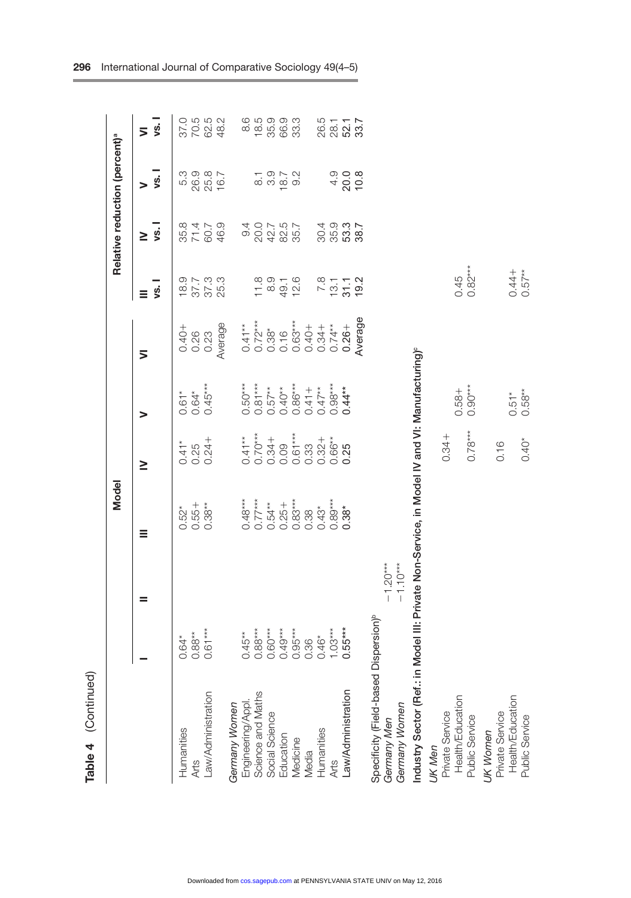|                                                                                                           |           |            | <b>Model</b>  |                                                                                |                       |                 |                              | Relative reduction (percent) <sup>ª</sup> |                  |                                                          |
|-----------------------------------------------------------------------------------------------------------|-----------|------------|---------------|--------------------------------------------------------------------------------|-----------------------|-----------------|------------------------------|-------------------------------------------|------------------|----------------------------------------------------------|
|                                                                                                           |           | $=$        | Ξ             | ≥                                                                              | >                     | $\overline{ }$  | $\overline{\mathbf{s}}$<br>Ξ | ý.<br>$\geq$                              | Ś.               | $\overline{\mathbf{s}}$ .<br>$\overline{z}$              |
| Humanities                                                                                                | $0.64*$   |            | $0.52*$       | $0.41*$                                                                        | $0.61*$               | $0.40 +$        | 18.9                         | 35.8                                      | 5.3              | 37.0                                                     |
| Arts                                                                                                      | $0.88**$  |            | $0.55 +$      | 0.25                                                                           | $0.64*$               | 0.26            | 37.7                         | 71.4                                      | 26.9             |                                                          |
| Law/Administration                                                                                        | $0.61***$ |            | $0.38**$      | $0.24 +$                                                                       | $0.45***$             | Average<br>0.23 | 37.3<br>25.3                 | 46.9<br>60.7                              | 25.8             | 70.5<br>20.9<br>20.9                                     |
| Germany Women                                                                                             |           |            |               |                                                                                |                       |                 |                              |                                           |                  |                                                          |
| Engineering/Appl.                                                                                         | $0.45**$  |            | $0.48***$     |                                                                                | $0.50***$             | $0.41**$        |                              | 9.4                                       |                  |                                                          |
| Science and Maths                                                                                         | $0.88***$ |            | $0.77***$     |                                                                                | $0.81***$<br>0.57**   | $0.72***$       |                              | 0 7 5 6 7<br>0 9 9 9 9<br>0 9 9 9 9       | $\overline{6}$   |                                                          |
| Social Science                                                                                            | $0.60***$ |            | $0.54**$      |                                                                                |                       | $0.38*$         | $\frac{1}{1}$ 8 9 1<br>49 1  |                                           | 3.9              |                                                          |
| Education                                                                                                 | $0.49***$ |            |               |                                                                                | $0.40**$              | 0.16            |                              |                                           | $18.7$<br>9.2    | 66.9<br>33.3                                             |
| Medicine                                                                                                  | $0.95***$ |            | $0.25 + 0.83$ | $\begin{array}{c} 0.41** \\ 0.70** \\ -0.34** \\ 0.0000 \\ 0.0000 \end{array}$ | $0.86***$             | $0.63***$       | 12.6                         |                                           |                  |                                                          |
| Media                                                                                                     | 0.36      |            | 0.38          | 0.33                                                                           | $0.41 +$              | $0.40 +$        |                              |                                           |                  |                                                          |
| Humanities                                                                                                | $0.46*$   |            | $0.43*$       | $0.32 +$                                                                       | $0.47**$              | $0.34 +$        |                              |                                           |                  |                                                          |
| <b>Arts</b>                                                                                               | $1.03***$ |            | $0.89***$     | $0.66***$                                                                      | $0.98***$             | $0.74***$       |                              |                                           | 4.9              |                                                          |
| Law/Administration                                                                                        | $0.55***$ |            | $0.38*$       | 0.25                                                                           | $0.44**$              | $0.26 +$        | $781$<br>$7911$<br>$511$     | 8<br>8 8 8 9<br>9 9 9 9                   | $20.0$<br>$10.8$ | 5<br>6<br>6<br>6<br>6<br>5<br>5<br>6<br>5<br>6<br>5<br>6 |
|                                                                                                           |           |            |               |                                                                                |                       | Average         | 19.2                         |                                           |                  |                                                          |
| Specificity (Field-based Dispersion) <sup>b</sup>                                                         |           |            |               |                                                                                |                       |                 |                              |                                           |                  |                                                          |
| Germany Men                                                                                               |           | $-1.20***$ |               |                                                                                |                       |                 |                              |                                           |                  |                                                          |
| Germany Women                                                                                             |           | $-1.10***$ |               |                                                                                |                       |                 |                              |                                           |                  |                                                          |
| Industry Sector (Ref.: in Model III: Private Non-Service, in Model IV and VI: Manufacturing) <sup>c</sup> |           |            |               |                                                                                |                       |                 |                              |                                           |                  |                                                          |
| UK Men                                                                                                    |           |            |               |                                                                                |                       |                 |                              |                                           |                  |                                                          |
| Private Service                                                                                           |           |            |               | $0.34 +$                                                                       |                       |                 |                              |                                           |                  |                                                          |
| Health/Education                                                                                          |           |            |               |                                                                                | $0.58 +$<br>$0.90***$ |                 | 0.45                         |                                           |                  |                                                          |
| Public Service                                                                                            |           |            |               | $0.78***$                                                                      |                       |                 | $0.82***$                    |                                           |                  |                                                          |
| UK Women                                                                                                  |           |            |               |                                                                                |                       |                 |                              |                                           |                  |                                                          |
| Private Service                                                                                           |           |            |               | 0.16                                                                           |                       |                 |                              |                                           |                  |                                                          |
| Health/Education                                                                                          |           |            |               |                                                                                | $0.51**$<br>$0.58**$  |                 | $0.44**$                     |                                           |                  |                                                          |
| Public Service                                                                                            |           |            |               | $0.40*$                                                                        |                       |                 |                              |                                           |                  |                                                          |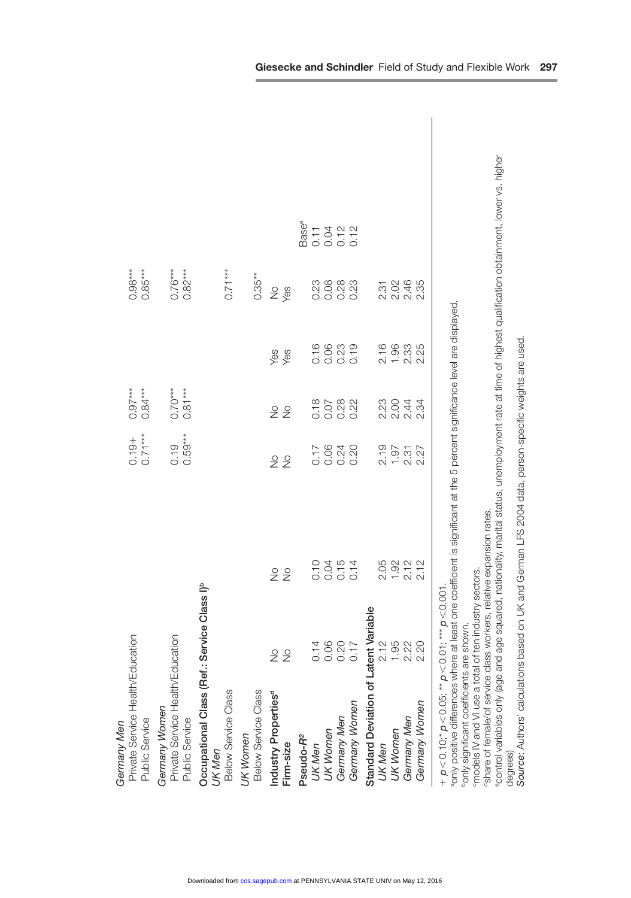| Private Service Health/Education<br>Public Service<br>Germany Men                                                                                                         |                                |                                                                                                                           | $0.71***$<br>$0.19 +$          | $0.84***$<br>$0.97***$         |              | $0.85***$<br>$0.98***$ |                            |
|---------------------------------------------------------------------------------------------------------------------------------------------------------------------------|--------------------------------|---------------------------------------------------------------------------------------------------------------------------|--------------------------------|--------------------------------|--------------|------------------------|----------------------------|
| Private Service Health/Education<br>Germany Women<br>Public Service                                                                                                       |                                |                                                                                                                           | $0.59***$<br>0.19              | $0.81***$<br>$0.70***$         |              | $0.82***$<br>$0.76***$ |                            |
| Occupational Class (Ref.: Service Class I) <sup>b</sup><br><b>Below Service Class</b><br>UK Men                                                                           |                                |                                                                                                                           |                                |                                |              | $0.71***$              |                            |
| <b>Below Service Class</b><br>UK Women                                                                                                                                    |                                |                                                                                                                           |                                |                                |              | $0.35**$               |                            |
| Industry Properties <sup>d</sup><br>Firm-size                                                                                                                             | $\frac{1}{2}$<br>$\frac{1}{2}$ | $\frac{1}{2}$<br>$\frac{1}{2}$                                                                                            | $\frac{1}{2}$<br>$\frac{1}{2}$ | $\frac{1}{2}$<br>$\frac{1}{2}$ | Yes<br>Yes   | Yes<br>$\frac{1}{2}$   |                            |
| Pseudo-R <sup>2</sup>                                                                                                                                                     |                                |                                                                                                                           |                                |                                |              |                        | <b>Base®</b>               |
| UK Women<br>UK Men                                                                                                                                                        | 0.14<br>0.06                   | 0.10<br>0.04                                                                                                              | 0.06<br>0.17                   | 0.18<br>0.07                   | 0.16<br>0.06 | 0.23                   | 0.11                       |
| Germany Men                                                                                                                                                               | $0.20$<br>$0.17$               | $0.15$<br>$0.14$                                                                                                          | 0.24<br>0.20                   | 0.28                           | 0.23         | 8888<br>0000           | $0.12$<br>$0.12$<br>$0.12$ |
| Germany Women                                                                                                                                                             |                                |                                                                                                                           |                                |                                | 0.19         |                        |                            |
| Standard Deviation of Latent Variable                                                                                                                                     |                                |                                                                                                                           |                                |                                |              |                        |                            |
| UK Men                                                                                                                                                                    | 2.12                           | 2.05                                                                                                                      | 2.19                           | 2.23                           | 2.16         | 2.31                   |                            |
| UK Women                                                                                                                                                                  | 1.95                           | 1.92                                                                                                                      | 1.97                           | 2.00                           | 1.96         |                        |                            |
| Germany Men                                                                                                                                                               | 2.22                           | 2.12                                                                                                                      | 2.31                           | 2.44                           | 2.33         | 2.02<br>2.46           |                            |
| Germany Women                                                                                                                                                             | 2.20                           | 2.12                                                                                                                      | 2.27                           | 2.34                           | 2.25         | 2.35                   |                            |
| <sup>o</sup> models IV and VI use a total of ten industry sectors.<br>$+ p < 0.10; p < 0.05;$ ** $p < 0.01;$ *** $p < 0.001$<br>bonly significant coefficients are shown. |                                | only positive differences where at least one coefficient is significant at the 5 percent significance level are displayed |                                |                                |              |                        |                            |

**Giesecke and Schindler** Field of Study and Flexible Work **297**

dshare of female/of service class workers, relative expansion rates.

eshare of female/of service class workers, relative expansion rates.

econtrol variables only (age and age squared, nationality, marital status, unemployment rate at time of highest qualification obtainment, lower vs. higher

control variables only (age and age squared, nationality, marital status, unemployment rate at time of highest qualification obtainment, lower vs. higher

degrees)<br>Source: Authors' calculations based on UK and German LFS 2004 data, person-specific weights are used. *Source*: Authors' calculations based on UK and German LFS 2004 data, person-specifi c weights are used.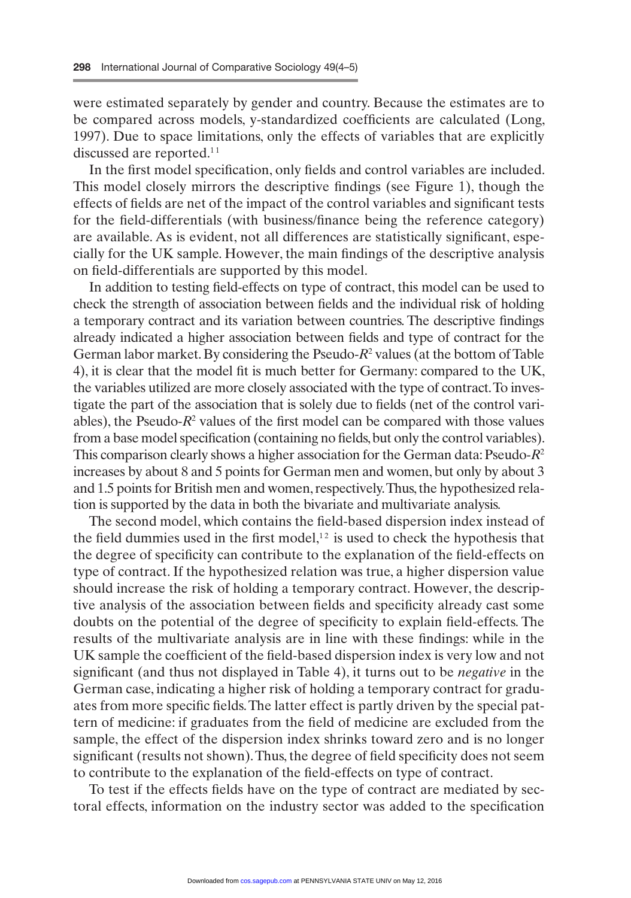were estimated separately by gender and country. Because the estimates are to be compared across models, y-standardized coefficients are calculated (Long, 1997). Due to space limitations, only the effects of variables that are explicitly discussed are reported.<sup>11</sup>

In the first model specification, only fields and control variables are included. This model closely mirrors the descriptive findings (see Figure 1), though the effects of fields are net of the impact of the control variables and significant tests for the field-differentials (with business/finance being the reference category) are available. As is evident, not all differences are statistically significant, especially for the UK sample. However, the main findings of the descriptive analysis on field-differentials are supported by this model.

In addition to testing field-effects on type of contract, this model can be used to check the strength of association between fields and the individual risk of holding a temporary contract and its variation between countries. The descriptive findings already indicated a higher association between fields and type of contract for the German labor market. By considering the Pseudo-*R*<sup>2</sup> values (at the bottom of Table 4), it is clear that the model fit is much better for Germany: compared to the UK, the variables utilized are more closely associated with the type of contract. To investigate the part of the association that is solely due to fields (net of the control variables), the Pseudo- $R<sup>2</sup>$  values of the first model can be compared with those values from a base model specification (containing no fields, but only the control variables). This comparison clearly shows a higher association for the German data: Pseudo-*R*<sup>2</sup> increases by about 8 and 5 points for German men and women, but only by about 3 and 1.5 points for British men and women, respectively. Thus, the hypothesized relation is supported by the data in both the bivariate and multivariate analysis.

The second model, which contains the field-based dispersion index instead of the field dummies used in the first model,<sup>12</sup> is used to check the hypothesis that the degree of specificity can contribute to the explanation of the field-effects on type of contract. If the hypothesized relation was true, a higher dispersion value should increase the risk of holding a temporary contract. However, the descriptive analysis of the association between fields and specificity already cast some doubts on the potential of the degree of specificity to explain field-effects. The results of the multivariate analysis are in line with these findings: while in the UK sample the coefficient of the field-based dispersion index is very low and not significant (and thus not displayed in Table 4), it turns out to be *negative* in the German case, indicating a higher risk of holding a temporary contract for graduates from more specific fields. The latter effect is partly driven by the special pattern of medicine: if graduates from the field of medicine are excluded from the sample, the effect of the dispersion index shrinks toward zero and is no longer significant (results not shown). Thus, the degree of field specificity does not seem to contribute to the explanation of the field-effects on type of contract.

To test if the effects fields have on the type of contract are mediated by sectoral effects, information on the industry sector was added to the specification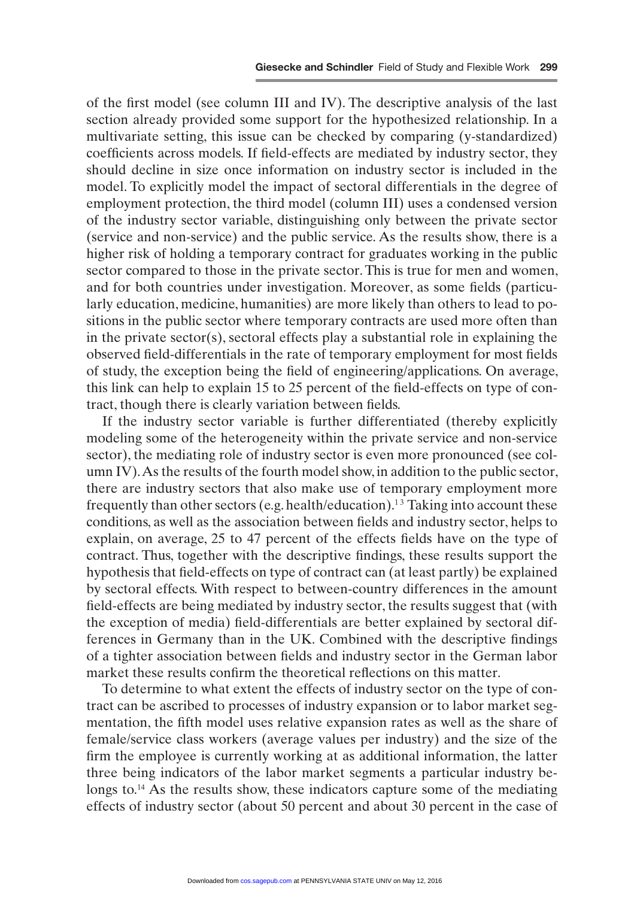of the first model (see column III and IV). The descriptive analysis of the last section already provided some support for the hypothesized relationship. In a multivariate setting, this issue can be checked by comparing (y-standardized) coefficients across models. If field-effects are mediated by industry sector, they should decline in size once information on industry sector is included in the model. To explicitly model the impact of sectoral differentials in the degree of employment protection, the third model (column III) uses a condensed version of the industry sector variable, distinguishing only between the private sector (service and non-service) and the public service. As the results show, there is a higher risk of holding a temporary contract for graduates working in the public sector compared to those in the private sector. This is true for men and women, and for both countries under investigation. Moreover, as some fields (particularly education, medicine, humanities) are more likely than others to lead to positions in the public sector where temporary contracts are used more often than in the private sector(s), sectoral effects play a substantial role in explaining the observed field-differentials in the rate of temporary employment for most fields of study, the exception being the field of engineering/applications. On average, this link can help to explain 15 to 25 percent of the field-effects on type of contract, though there is clearly variation between fields.

If the industry sector variable is further differentiated (thereby explicitly modeling some of the heterogeneity within the private service and non-service sector), the mediating role of industry sector is even more pronounced (see column IV). As the results of the fourth model show, in addition to the public sector, there are industry sectors that also make use of temporary employment more frequently than other sectors (e.g. health/education).<sup>13</sup> Taking into account these conditions, as well as the association between fields and industry sector, helps to explain, on average, 25 to 47 percent of the effects fields have on the type of contract. Thus, together with the descriptive findings, these results support the hypothesis that field-effects on type of contract can (at least partly) be explained by sectoral effects. With respect to between-country differences in the amount field-effects are being mediated by industry sector, the results suggest that (with the exception of media) field-differentials are better explained by sectoral differences in Germany than in the UK. Combined with the descriptive findings of a tighter association between fields and industry sector in the German labor market these results confirm the theoretical reflections on this matter.

To determine to what extent the effects of industry sector on the type of contract can be ascribed to processes of industry expansion or to labor market segmentation, the fifth model uses relative expansion rates as well as the share of female/service class workers (average values per industry) and the size of the firm the employee is currently working at as additional information, the latter three being indicators of the labor market segments a particular industry belongs to.<sup>14</sup> As the results show, these indicators capture some of the mediating effects of industry sector (about 50 percent and about 30 percent in the case of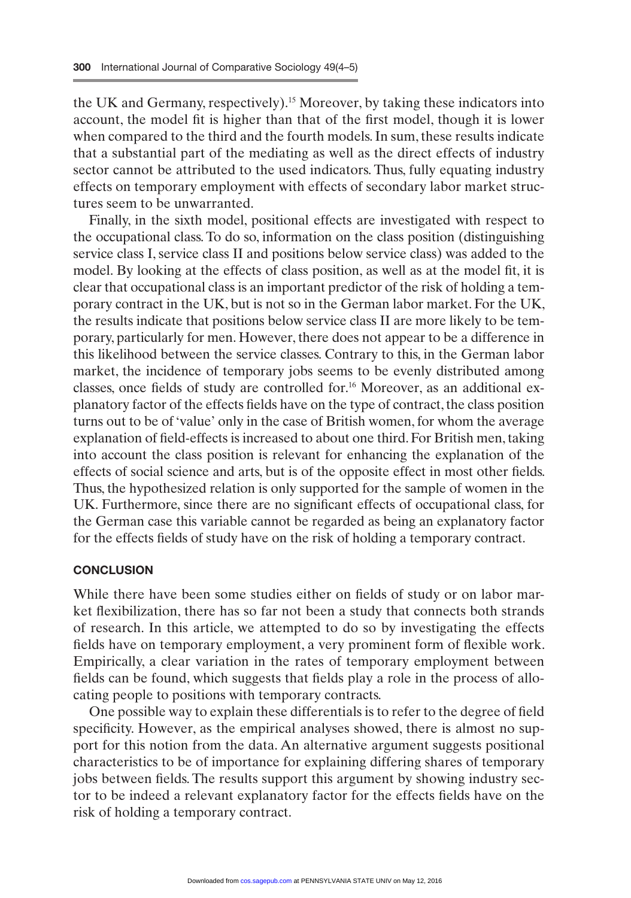the UK and Germany, respectively).15 Moreover, by taking these indicators into account, the model fit is higher than that of the first model, though it is lower when compared to the third and the fourth models. In sum, these results indicate that a substantial part of the mediating as well as the direct effects of industry sector cannot be attributed to the used indicators. Thus, fully equating industry effects on temporary employment with effects of secondary labor market structures seem to be unwarranted.

Finally, in the sixth model, positional effects are investigated with respect to the occupational class. To do so, information on the class position (distinguishing service class I, service class II and positions below service class) was added to the model. By looking at the effects of class position, as well as at the model fit, it is clear that occupational class is an important predictor of the risk of holding a temporary contract in the UK, but is not so in the German labor market. For the UK, the results indicate that positions below service class II are more likely to be temporary, particularly for men. However, there does not appear to be a difference in this likelihood between the service classes. Contrary to this, in the German labor market, the incidence of temporary jobs seems to be evenly distributed among classes, once fields of study are controlled for.<sup>16</sup> Moreover, as an additional explanatory factor of the effects fields have on the type of contract, the class position turns out to be of 'value' only in the case of British women, for whom the average explanation of field-effects is increased to about one third. For British men, taking into account the class position is relevant for enhancing the explanation of the effects of social science and arts, but is of the opposite effect in most other fields. Thus, the hypothesized relation is only supported for the sample of women in the UK. Furthermore, since there are no significant effects of occupational class, for the German case this variable cannot be regarded as being an explanatory factor for the effects fields of study have on the risk of holding a temporary contract.

#### **CONCLUSION**

While there have been some studies either on fields of study or on labor market flexibilization, there has so far not been a study that connects both strands of research. In this article, we attempted to do so by investigating the effects fields have on temporary employment, a very prominent form of flexible work. Empirically, a clear variation in the rates of temporary employment between fields can be found, which suggests that fields play a role in the process of allocating people to positions with temporary contracts.

One possible way to explain these differentials is to refer to the degree of field specificity. However, as the empirical analyses showed, there is almost no support for this notion from the data. An alternative argument suggests positional characteristics to be of importance for explaining differing shares of temporary jobs between fields. The results support this argument by showing industry sector to be indeed a relevant explanatory factor for the effects fields have on the risk of holding a temporary contract.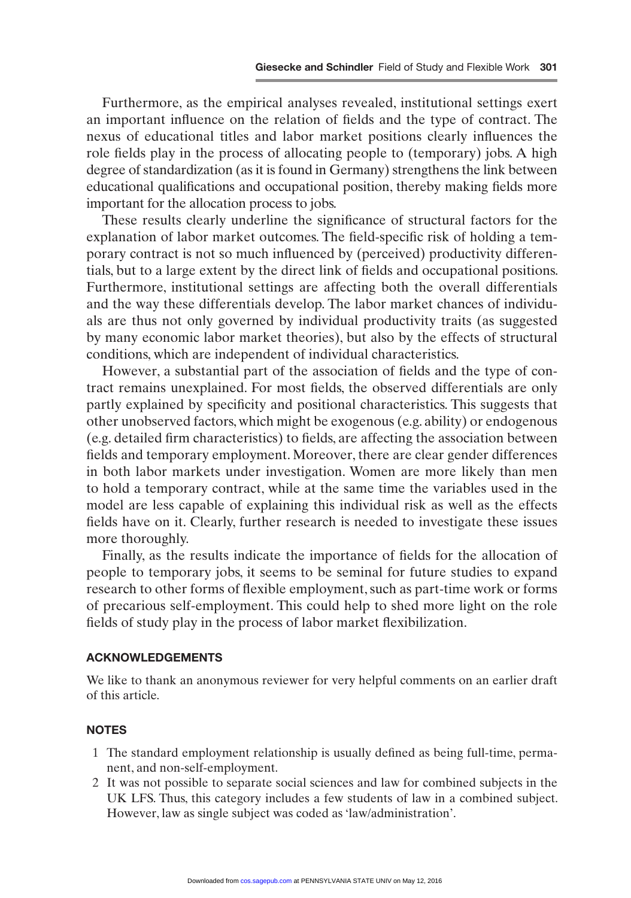Furthermore, as the empirical analyses revealed, institutional settings exert an important influence on the relation of fields and the type of contract. The nexus of educational titles and labor market positions clearly influences the role fields play in the process of allocating people to (temporary) jobs. A high degree of standardization (as it is found in Germany) strengthens the link between educational qualifications and occupational position, thereby making fields more important for the allocation process to jobs.

These results clearly underline the significance of structural factors for the explanation of labor market outcomes. The field-specific risk of holding a temporary contract is not so much influenced by (perceived) productivity differentials, but to a large extent by the direct link of fields and occupational positions. Furthermore, institutional settings are affecting both the overall differentials and the way these differentials develop. The labor market chances of individuals are thus not only governed by individual productivity traits (as suggested by many economic labor market theories), but also by the effects of structural conditions, which are independent of individual characteristics.

However, a substantial part of the association of fields and the type of contract remains unexplained. For most fields, the observed differentials are only partly explained by specificity and positional characteristics. This suggests that other unobserved factors, which might be exogenous (e.g. ability) or endogenous (e.g. detailed firm characteristics) to fields, are affecting the association between fields and temporary employment. Moreover, there are clear gender differences in both labor markets under investigation. Women are more likely than men to hold a temporary contract, while at the same time the variables used in the model are less capable of explaining this individual risk as well as the effects fields have on it. Clearly, further research is needed to investigate these issues more thoroughly.

Finally, as the results indicate the importance of fields for the allocation of people to temporary jobs, it seems to be seminal for future studies to expand research to other forms of flexible employment, such as part-time work or forms of precarious self-employment. This could help to shed more light on the role fields of study play in the process of labor market flexibilization.

#### **ACKNOWLEDGEMENTS**

We like to thank an anonymous reviewer for very helpful comments on an earlier draft of this article.

#### **NOTES**

- 1 The standard employment relationship is usually defined as being full-time, permanent, and non-self-employment.
- 2 It was not possible to separate social sciences and law for combined subjects in the UK LFS. Thus, this category includes a few students of law in a combined subject. However, law as single subject was coded as 'law/administration'.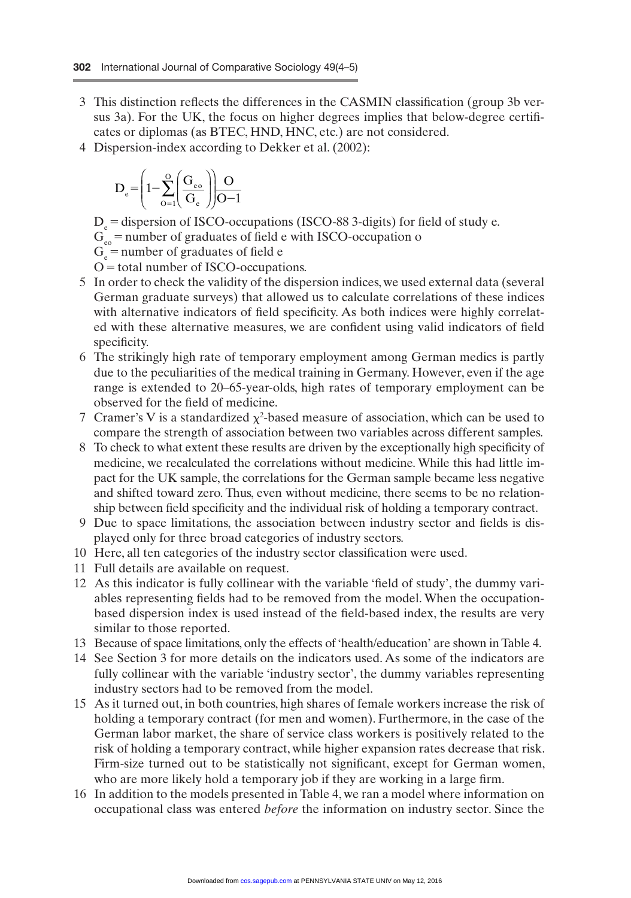- 3 This distinction reflects the differences in the CASMIN classification (group 3b versus 3a). For the UK, the focus on higher degrees implies that below-degree certifi cates or diplomas (as BTEC, HND, HNC, etc.) are not considered.
- 4 Dispersion-index according to Dekker et al. (2002):

$$
D_e\!=\!\!\left(\!1\!-\!\sum_{o=1}^{\!0}\!\left(\! \frac{G_{_{eo}}}{G_{_e}}\right)\!\!\right)\!\!\frac{O}{O\!-\!1}
$$

 $D_e$  = dispersion of ISCO-occupations (ISCO-88 3-digits) for field of study e.

- $G_{\text{eq}}$  = number of graduates of field e with ISCO-occupation o
- $G_e$  = number of graduates of field e
	- $O =$  total number of ISCO-occupations.
- 5 In order to check the validity of the dispersion indices, we used external data (several German graduate surveys) that allowed us to calculate correlations of these indices with alternative indicators of field specificity. As both indices were highly correlated with these alternative measures, we are confident using valid indicators of field specificity.
- 6 The strikingly high rate of temporary employment among German medics is partly due to the peculiarities of the medical training in Germany. However, even if the age range is extended to 20–65-year-olds, high rates of temporary employment can be observed for the field of medicine.
- 7 Cramer's V is a standardized  $\chi^2$ -based measure of association, which can be used to compare the strength of association between two variables across different samples.
- 8 To check to what extent these results are driven by the exceptionally high specificity of medicine, we recalculated the correlations without medicine. While this had little impact for the UK sample, the correlations for the German sample became less negative and shifted toward zero. Thus, even without medicine, there seems to be no relationship between field specificity and the individual risk of holding a temporary contract.
- 9 Due to space limitations, the association between industry sector and fields is displayed only for three broad categories of industry sectors.
- 10 Here, all ten categories of the industry sector classification were used.
- 11 Full details are available on request.
- 12 As this indicator is fully collinear with the variable 'field of study', the dummy variables representing fields had to be removed from the model. When the occupationbased dispersion index is used instead of the field-based index, the results are very similar to those reported.
- 13 Because of space limitations, only the effects of 'health/education' are shown in Table 4.
- 14 See Section 3 for more details on the indicators used. As some of the indicators are fully collinear with the variable 'industry sector', the dummy variables representing industry sectors had to be removed from the model.
- 15 As it turned out, in both countries, high shares of female workers increase the risk of holding a temporary contract (for men and women). Furthermore, in the case of the German labor market, the share of service class workers is positively related to the risk of holding a temporary contract, while higher expansion rates decrease that risk. Firm-size turned out to be statistically not significant, except for German women, who are more likely hold a temporary job if they are working in a large firm.
- 16 In addition to the models presented in Table 4, we ran a model where information on occupational class was entered *before* the information on industry sector. Since the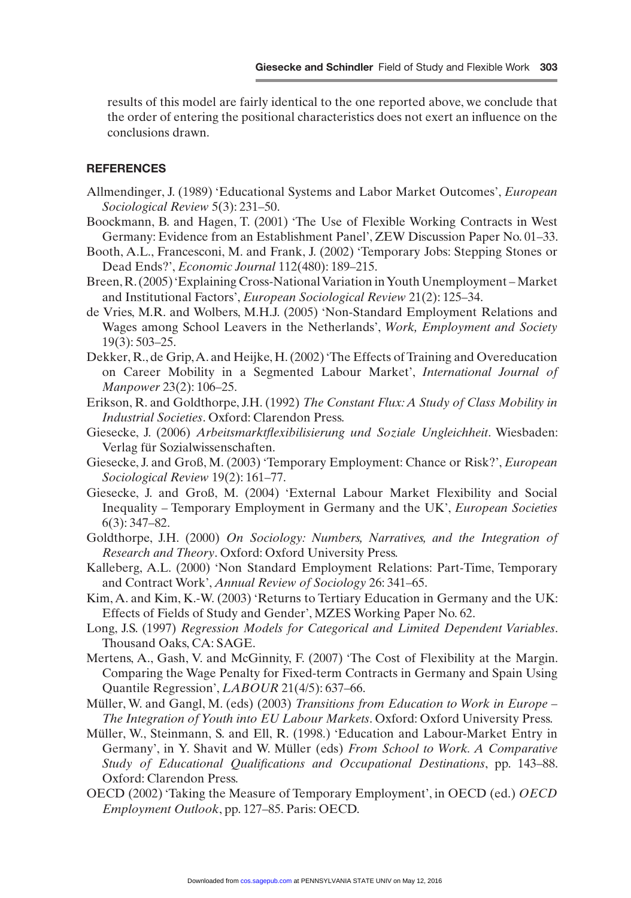results of this model are fairly identical to the one reported above, we conclude that the order of entering the positional characteristics does not exert an influence on the conclusions drawn.

## **REFERENCES**

- Allmendinger, J. (1989) 'Educational Systems and Labor Market Outcomes', *European Sociological Review* 5(3): 231–50.
- Boockmann, B. and Hagen, T. (2001) 'The Use of Flexible Working Contracts in West Germany: Evidence from an Establishment Panel', ZEW Discussion Paper No. 01–33.
- Booth, A.L., Francesconi, M. and Frank, J. (2002) 'Temporary Jobs: Stepping Stones or Dead Ends?', *Economic Journal* 112(480): 189–215.
- Breen, R. (2005) 'Explaining Cross-National Variation in Youth Unemployment Market and Institutional Factors', *European Sociological Review* 21(2): 125–34.
- de Vries, M.R. and Wolbers, M.H.J. (2005) 'Non-Standard Employment Relations and Wages among School Leavers in the Netherlands', *Work, Employment and Society* 19(3): 503–25.
- Dekker, R., de Grip, A. and Heijke, H. (2002) 'The Effects of Training and Overeducation on Career Mobility in a Segmented Labour Market', *International Journal of Manpower* 23(2): 106–25.
- Erikson, R. and Goldthorpe, J.H. (1992) *The Constant Flux: A Study of Class Mobility in Industrial Societies*. Oxford: Clarendon Press.
- Giesecke, J. (2006) *Arbeitsmarktflexibilisierung und Soziale Ungleichheit*. Wiesbaden: Verlag für Sozialwissenschaften.
- Giesecke, J. and Groß, M. (2003) 'Temporary Employment: Chance or Risk?', *European Sociological Review* 19(2): 161–77.
- Giesecke, J. and Groß, M. (2004) 'External Labour Market Flexibility and Social Inequality – Temporary Employment in Germany and the UK', *European Societies* 6(3): 347–82.
- Goldthorpe, J.H. (2000) *On Sociology: Numbers, Narratives, and the Integration of Research and Theory*. Oxford: Oxford University Press.
- Kalleberg, A.L. (2000) 'Non Standard Employment Relations: Part-Time, Temporary and Contract Work', *Annual Review of Sociology* 26: 341–65.
- Kim, A. and Kim, K.-W. (2003) 'Returns to Tertiary Education in Germany and the UK: Effects of Fields of Study and Gender', MZES Working Paper No. 62.
- Long, J.S. (1997) *Regression Models for Categorical and Limited Dependent Variables*. Thousand Oaks, CA: SAGE.
- Mertens, A., Gash, V. and McGinnity, F. (2007) 'The Cost of Flexibility at the Margin. Comparing the Wage Penalty for Fixed-term Contracts in Germany and Spain Using Quantile Regression', *LABOUR* 21(4/5): 637–66.
- Müller, W. and Gangl, M. (eds) (2003) *Transitions from Education to Work in Europe The Integration of Youth into EU Labour Markets*. Oxford: Oxford University Press.
- Müller, W., Steinmann, S. and Ell, R. (1998.) 'Education and Labour-Market Entry in Germany', in Y. Shavit and W. Müller (eds) *From School to Work. A Comparative*  Study of Educational Qualifications and Occupational Destinations, pp. 143-88. Oxford: Clarendon Press.
- OECD (2002) 'Taking the Measure of Temporary Employment', in OECD (ed.) *OECD Employment Outlook*, pp. 127–85. Paris: OECD.